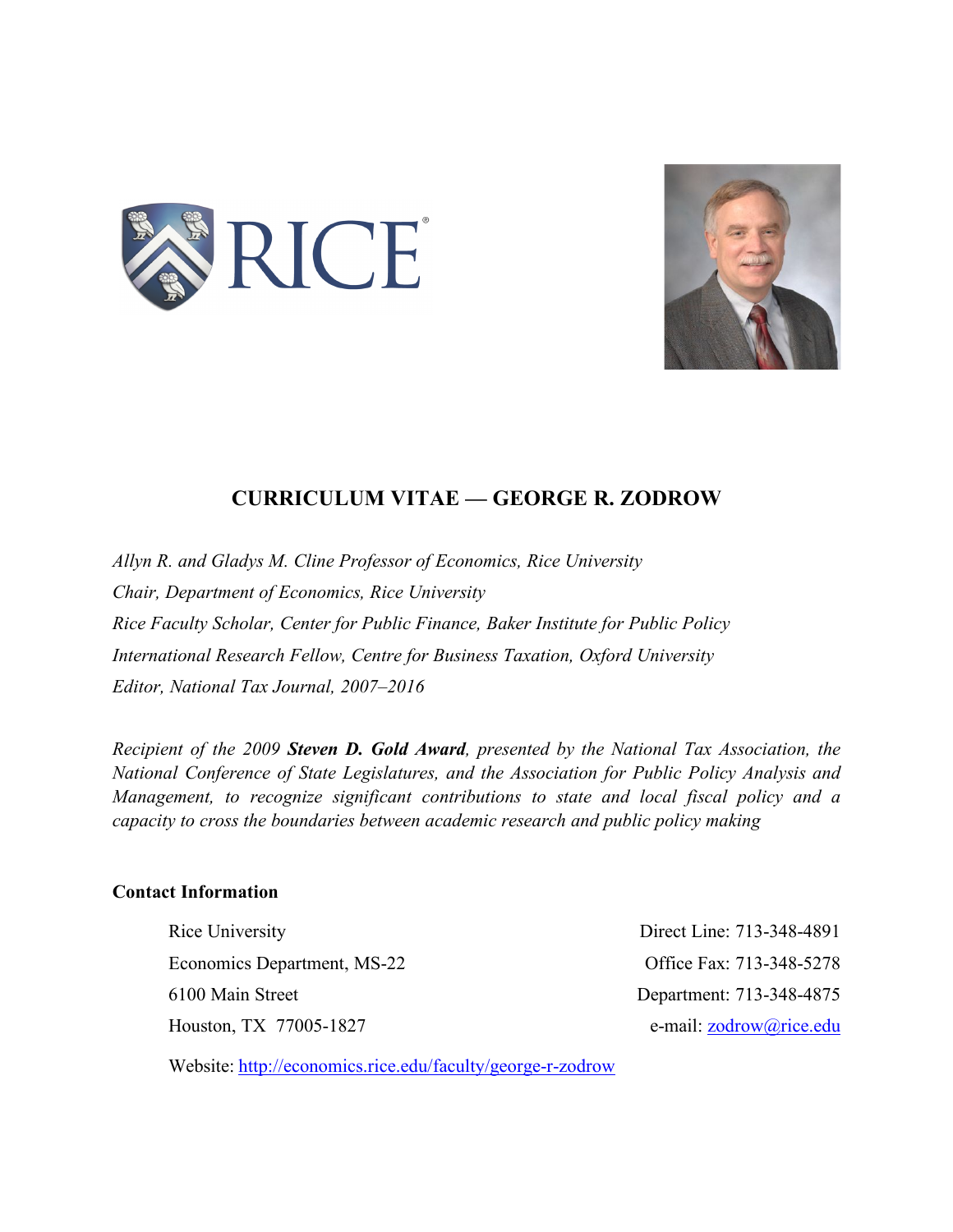



# **CURRICULUM VITAE — GEORGE R. ZODROW**

*Allyn R. and Gladys M. Cline Professor of Economics, Rice University Chair, Department of Economics, Rice University Rice Faculty Scholar, Center for Public Finance, Baker Institute for Public Policy International Research Fellow, Centre for Business Taxation, Oxford University Editor, National Tax Journal, 2007–2016*

*Recipient of the 2009 Steven D. Gold Award, presented by the National Tax Association, the National Conference of State Legislatures, and the Association for Public Policy Analysis and Management, to recognize significant contributions to state and local fiscal policy and a capacity to cross the boundaries between academic research and public policy making*

# **Contact Information**

Rice University Direct Line: 713-348-4891 Economics Department, MS-22 Office Fax: 713-348-5278 6100 Main Street Department: 713-348-4875 Houston, TX 77005-1827 e-mail: zodrow@rice.edu

Website: http://economics.rice.edu/faculty/george-r-zodrow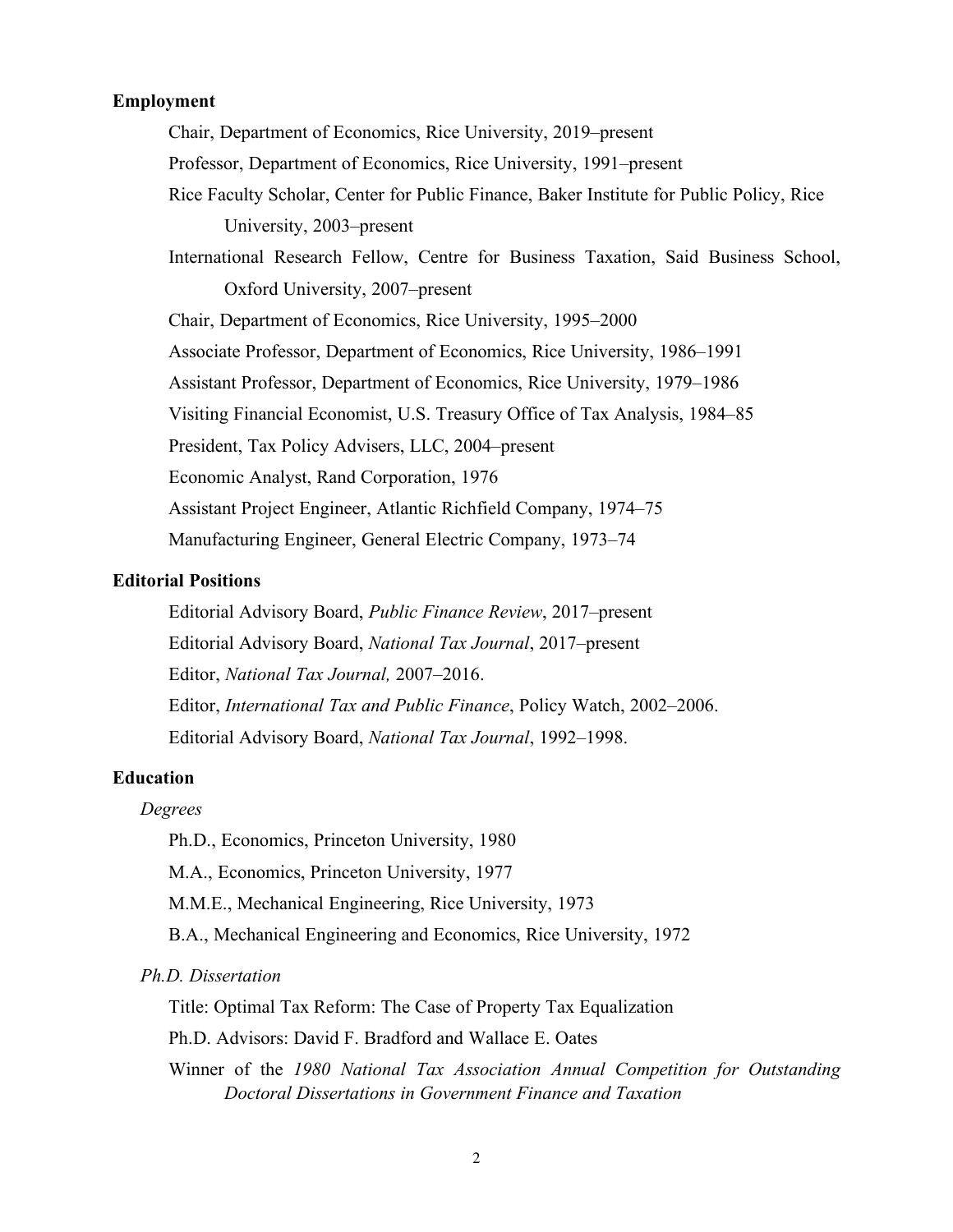## **Employment**

Chair, Department of Economics, Rice University, 2019–present Professor, Department of Economics, Rice University, 1991–present Rice Faculty Scholar, Center for Public Finance, Baker Institute for Public Policy, Rice University, 2003–present International Research Fellow, Centre for Business Taxation, Said Business School, Oxford University, 2007–present Chair, Department of Economics, Rice University, 1995–2000 Associate Professor, Department of Economics, Rice University, 1986–1991 Assistant Professor, Department of Economics, Rice University, 1979–1986 Visiting Financial Economist, U.S. Treasury Office of Tax Analysis, 1984–85 President, Tax Policy Advisers, LLC, 2004–present Economic Analyst, Rand Corporation, 1976 Assistant Project Engineer, Atlantic Richfield Company, 1974–75 Manufacturing Engineer, General Electric Company, 1973–74

## **Editorial Positions**

Editorial Advisory Board, *Public Finance Review*, 2017–present Editorial Advisory Board, *National Tax Journal*, 2017–present Editor, *National Tax Journal,* 2007–2016. Editor, *International Tax and Public Finance*, Policy Watch, 2002–2006. Editorial Advisory Board, *National Tax Journal*, 1992–1998.

# **Education**

*Degrees*

Ph.D., Economics, Princeton University, 1980

M.A., Economics, Princeton University, 1977

M.M.E., Mechanical Engineering, Rice University, 1973

B.A., Mechanical Engineering and Economics, Rice University, 1972

*Ph.D. Dissertation*

Title: Optimal Tax Reform: The Case of Property Tax Equalization

Ph.D. Advisors: David F. Bradford and Wallace E. Oates

Winner of the *1980 National Tax Association Annual Competition for Outstanding Doctoral Dissertations in Government Finance and Taxation*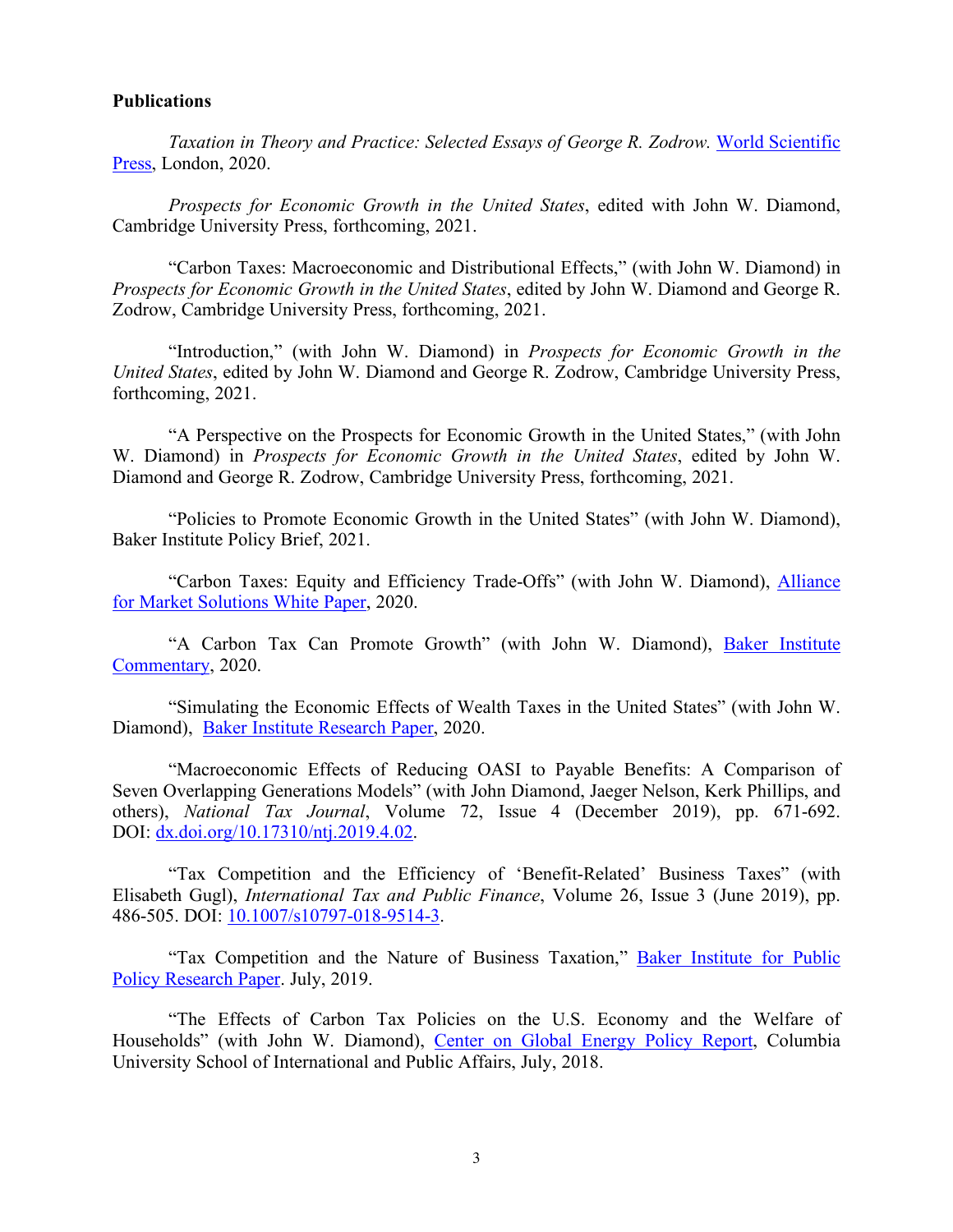#### **Publications**

*Taxation in Theory and Practice: Selected Essays of George R. Zodrow.* World Scientific Press, London, 2020.

*Prospects for Economic Growth in the United States*, edited with John W. Diamond, Cambridge University Press, forthcoming, 2021.

"Carbon Taxes: Macroeconomic and Distributional Effects," (with John W. Diamond) in *Prospects for Economic Growth in the United States*, edited by John W. Diamond and George R. Zodrow, Cambridge University Press, forthcoming, 2021.

"Introduction," (with John W. Diamond) in *Prospects for Economic Growth in the United States*, edited by John W. Diamond and George R. Zodrow, Cambridge University Press, forthcoming, 2021.

"A Perspective on the Prospects for Economic Growth in the United States," (with John W. Diamond) in *Prospects for Economic Growth in the United States*, edited by John W. Diamond and George R. Zodrow, Cambridge University Press, forthcoming, 2021.

"Policies to Promote Economic Growth in the United States" (with John W. Diamond), Baker Institute Policy Brief, 2021.

"Carbon Taxes: Equity and Efficiency Trade-Offs" (with John W. Diamond), Alliance for Market Solutions White Paper, 2020.

"A Carbon Tax Can Promote Growth" (with John W. Diamond), Baker Institute Commentary, 2020.

"Simulating the Economic Effects of Wealth Taxes in the United States" (with John W. Diamond), Baker Institute Research Paper, 2020.

"Macroeconomic Effects of Reducing OASI to Payable Benefits: A Comparison of Seven Overlapping Generations Models" (with John Diamond, Jaeger Nelson, Kerk Phillips, and others), *National Tax Journal*, Volume 72, Issue 4 (December 2019), pp. 671-692. DOI: dx.doi.org/10.17310/ntj.2019.4.02.

"Tax Competition and the Efficiency of 'Benefit-Related' Business Taxes" (with Elisabeth Gugl), *International Tax and Public Finance*, Volume 26, Issue 3 (June 2019), pp. 486-505. DOI: 10.1007/s10797-018-9514-3.

"Tax Competition and the Nature of Business Taxation," **Baker Institute for Public** Policy Research Paper. July, 2019.

"The Effects of Carbon Tax Policies on the U.S. Economy and the Welfare of Households" (with John W. Diamond), Center on Global Energy Policy Report, Columbia University School of International and Public Affairs, July, 2018.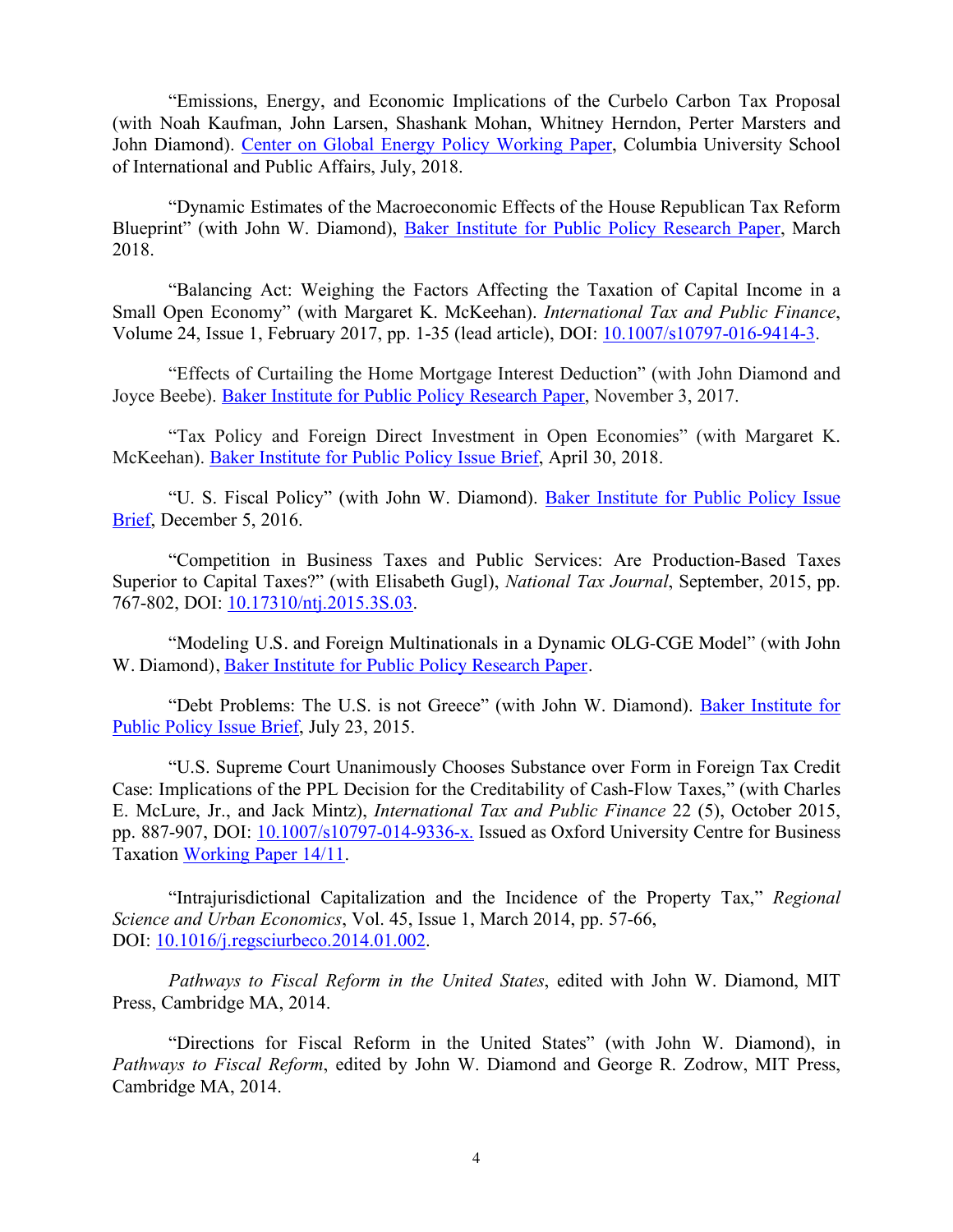"Emissions, Energy, and Economic Implications of the Curbelo Carbon Tax Proposal (with Noah Kaufman, John Larsen, Shashank Mohan, Whitney Herndon, Perter Marsters and John Diamond). Center on Global Energy Policy Working Paper, Columbia University School of International and Public Affairs, July, 2018.

"Dynamic Estimates of the Macroeconomic Effects of the House Republican Tax Reform Blueprint" (with John W. Diamond), Baker Institute for Public Policy Research Paper, March 2018.

"Balancing Act: Weighing the Factors Affecting the Taxation of Capital Income in a Small Open Economy" (with Margaret K. McKeehan). *International Tax and Public Finance*, Volume 24, Issue 1, February 2017, pp. 1-35 (lead article), DOI: 10.1007/s10797-016-9414-3.

"Effects of Curtailing the Home Mortgage Interest Deduction" (with John Diamond and Joyce Beebe). Baker Institute for Public Policy Research Paper, November 3, 2017.

"Tax Policy and Foreign Direct Investment in Open Economies" (with Margaret K. McKeehan). Baker Institute for Public Policy Issue Brief, April 30, 2018.

"U. S. Fiscal Policy" (with John W. Diamond). Baker Institute for Public Policy Issue Brief, December 5, 2016.

"Competition in Business Taxes and Public Services: Are Production-Based Taxes Superior to Capital Taxes?" (with Elisabeth Gugl), *National Tax Journal*, September, 2015, pp. 767-802, DOI: 10.17310/ntj.2015.3S.03.

"Modeling U.S. and Foreign Multinationals in a Dynamic OLG-CGE Model" (with John W. Diamond), Baker Institute for Public Policy Research Paper.

"Debt Problems: The U.S. is not Greece" (with John W. Diamond). Baker Institute for Public Policy Issue Brief, July 23, 2015.

"U.S. Supreme Court Unanimously Chooses Substance over Form in Foreign Tax Credit Case: Implications of the PPL Decision for the Creditability of Cash-Flow Taxes," (with Charles E. McLure, Jr., and Jack Mintz), *International Tax and Public Finance* 22 (5), October 2015, pp. 887-907, DOI: 10.1007/s10797-014-9336-x. Issued as Oxford University Centre for Business Taxation Working Paper 14/11.

"Intrajurisdictional Capitalization and the Incidence of the Property Tax," *Regional Science and Urban Economics*, Vol. 45, Issue 1, March 2014, pp. 57-66, DOI: 10.1016/j.regsciurbeco.2014.01.002.

*Pathways to Fiscal Reform in the United States*, edited with John W. Diamond, MIT Press, Cambridge MA, 2014.

"Directions for Fiscal Reform in the United States" (with John W. Diamond), in *Pathways to Fiscal Reform*, edited by John W. Diamond and George R. Zodrow, MIT Press, Cambridge MA, 2014.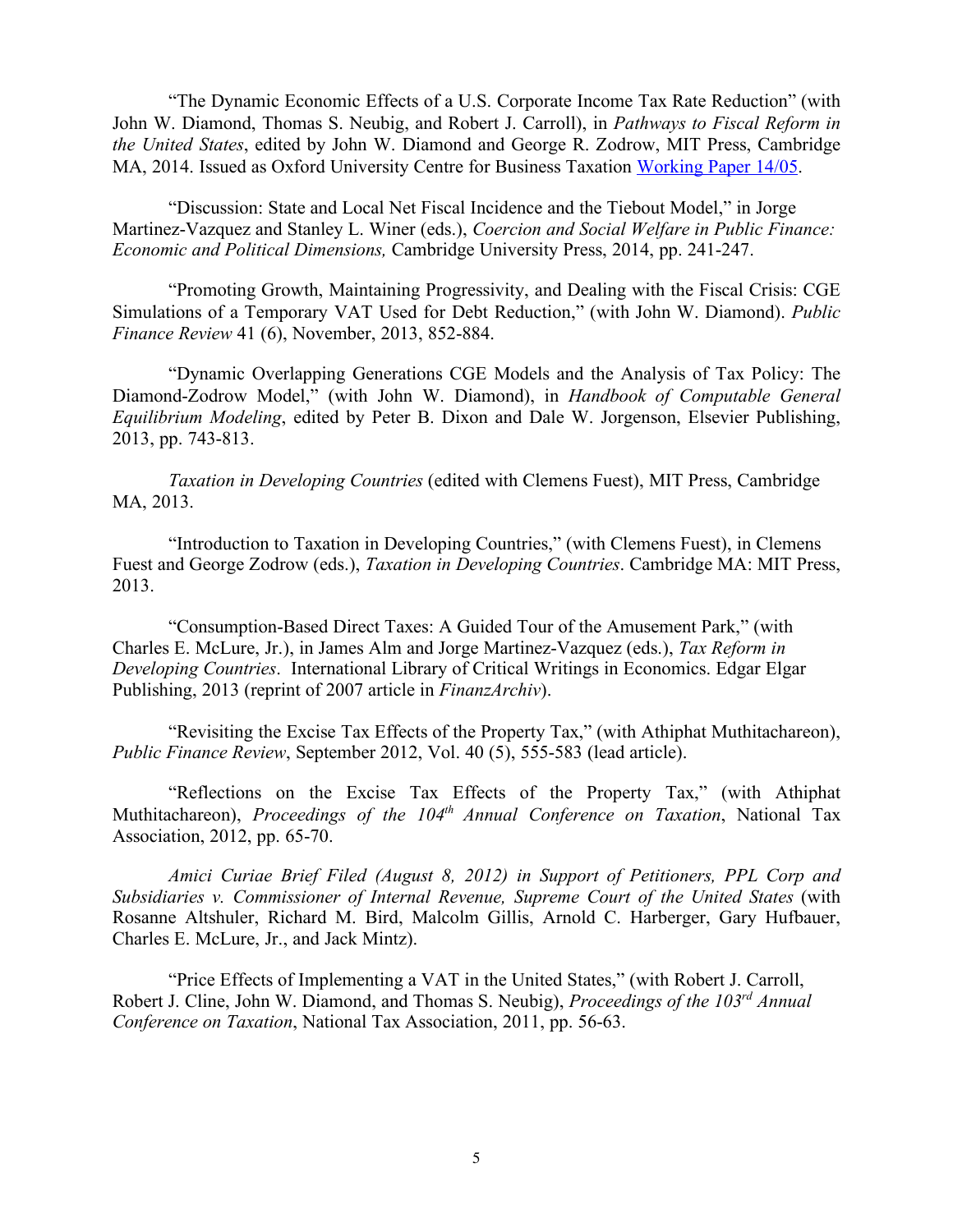"The Dynamic Economic Effects of a U.S. Corporate Income Tax Rate Reduction" (with John W. Diamond, Thomas S. Neubig, and Robert J. Carroll), in *Pathways to Fiscal Reform in the United States*, edited by John W. Diamond and George R. Zodrow, MIT Press, Cambridge MA, 2014. Issued as Oxford University Centre for Business Taxation Working Paper 14/05.

"Discussion: State and Local Net Fiscal Incidence and the Tiebout Model," in Jorge Martinez-Vazquez and Stanley L. Winer (eds.), *Coercion and Social Welfare in Public Finance: Economic and Political Dimensions,* Cambridge University Press, 2014, pp. 241-247.

"Promoting Growth, Maintaining Progressivity, and Dealing with the Fiscal Crisis: CGE Simulations of a Temporary VAT Used for Debt Reduction," (with John W. Diamond). *Public Finance Review* 41 (6), November, 2013, 852-884.

"Dynamic Overlapping Generations CGE Models and the Analysis of Tax Policy: The Diamond-Zodrow Model," (with John W. Diamond), in *Handbook of Computable General Equilibrium Modeling*, edited by Peter B. Dixon and Dale W. Jorgenson, Elsevier Publishing, 2013, pp. 743-813.

*Taxation in Developing Countries* (edited with Clemens Fuest), MIT Press, Cambridge MA, 2013.

"Introduction to Taxation in Developing Countries," (with Clemens Fuest), in Clemens Fuest and George Zodrow (eds.), *Taxation in Developing Countries*. Cambridge MA: MIT Press, 2013.

"Consumption-Based Direct Taxes: A Guided Tour of the Amusement Park," (with Charles E. McLure, Jr.), in James Alm and Jorge Martinez-Vazquez (eds.), *Tax Reform in Developing Countries*. International Library of Critical Writings in Economics. Edgar Elgar Publishing, 2013 (reprint of 2007 article in *FinanzArchiv*).

"Revisiting the Excise Tax Effects of the Property Tax," (with Athiphat Muthitachareon), *Public Finance Review*, September 2012, Vol. 40 (5), 555-583 (lead article).

"Reflections on the Excise Tax Effects of the Property Tax," (with Athiphat Muthitachareon), *Proceedings of the 104th Annual Conference on Taxation*, National Tax Association, 2012, pp. 65-70.

*Amici Curiae Brief Filed (August 8, 2012) in Support of Petitioners, PPL Corp and Subsidiaries v. Commissioner of Internal Revenue, Supreme Court of the United States* (with Rosanne Altshuler, Richard M. Bird, Malcolm Gillis, Arnold C. Harberger, Gary Hufbauer, Charles E. McLure, Jr., and Jack Mintz).

"Price Effects of Implementing a VAT in the United States," (with Robert J. Carroll, Robert J. Cline, John W. Diamond, and Thomas S. Neubig), *Proceedings of the 103rd Annual Conference on Taxation*, National Tax Association, 2011, pp. 56-63.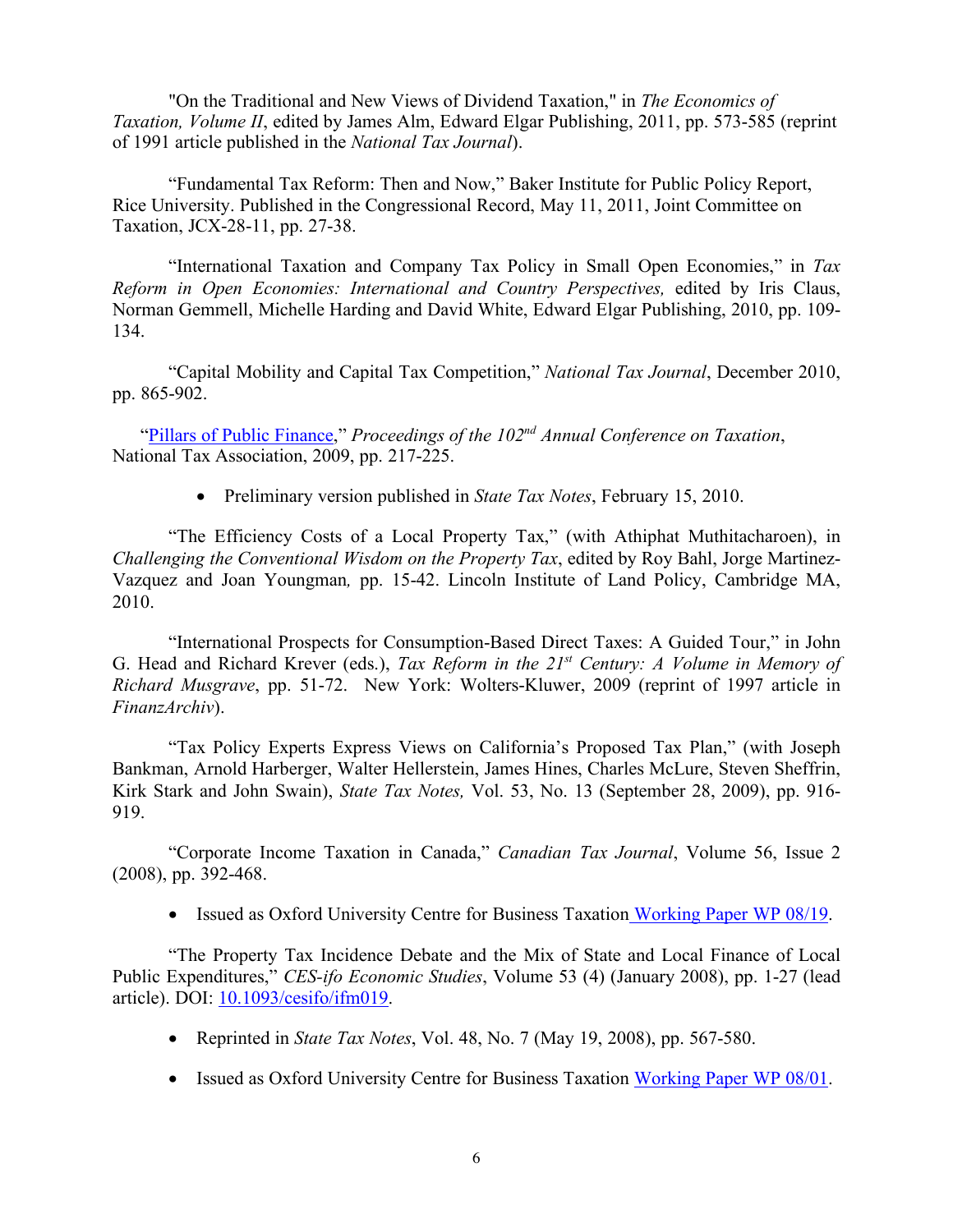"On the Traditional and New Views of Dividend Taxation," in *The Economics of Taxation, Volume II*, edited by James Alm, Edward Elgar Publishing, 2011, pp. 573-585 (reprint of 1991 article published in the *National Tax Journal*).

"Fundamental Tax Reform: Then and Now," Baker Institute for Public Policy Report, Rice University. Published in the Congressional Record, May 11, 2011, Joint Committee on Taxation, JCX-28-11, pp. 27-38.

"International Taxation and Company Tax Policy in Small Open Economies," in *Tax Reform in Open Economies: International and Country Perspectives,* edited by Iris Claus, Norman Gemmell, Michelle Harding and David White, Edward Elgar Publishing, 2010, pp. 109- 134.

"Capital Mobility and Capital Tax Competition," *National Tax Journal*, December 2010, pp. 865-902.

"Pillars of Public Finance," *Proceedings of the 102nd Annual Conference on Taxation*, National Tax Association, 2009, pp. 217-225.

• Preliminary version published in *State Tax Notes*, February 15, 2010.

"The Efficiency Costs of a Local Property Tax," (with Athiphat Muthitacharoen), in *Challenging the Conventional Wisdom on the Property Tax*, edited by Roy Bahl, Jorge Martinez-Vazquez and Joan Youngman*,* pp. 15-42. Lincoln Institute of Land Policy, Cambridge MA, 2010.

"International Prospects for Consumption-Based Direct Taxes: A Guided Tour," in John G. Head and Richard Krever (eds.), *Tax Reform in the 21st Century: A Volume in Memory of Richard Musgrave*, pp. 51-72. New York: Wolters-Kluwer, 2009 (reprint of 1997 article in *FinanzArchiv*).

"Tax Policy Experts Express Views on California's Proposed Tax Plan," (with Joseph Bankman, Arnold Harberger, Walter Hellerstein, James Hines, Charles McLure, Steven Sheffrin, Kirk Stark and John Swain), *State Tax Notes,* Vol. 53, No. 13 (September 28, 2009), pp. 916- 919.

"Corporate Income Taxation in Canada," *Canadian Tax Journal*, Volume 56, Issue 2 (2008), pp. 392-468.

• Issued as Oxford University Centre for Business Taxation Working Paper WP 08/19.

"The Property Tax Incidence Debate and the Mix of State and Local Finance of Local Public Expenditures," *CES-ifo Economic Studies*, Volume 53 (4) (January 2008), pp. 1-27 (lead article). DOI: 10.1093/cesifo/ifm019.

- Reprinted in *State Tax Notes*, Vol. 48, No. 7 (May 19, 2008), pp. 567-580.
- Issued as Oxford University Centre for Business Taxation Working Paper WP 08/01.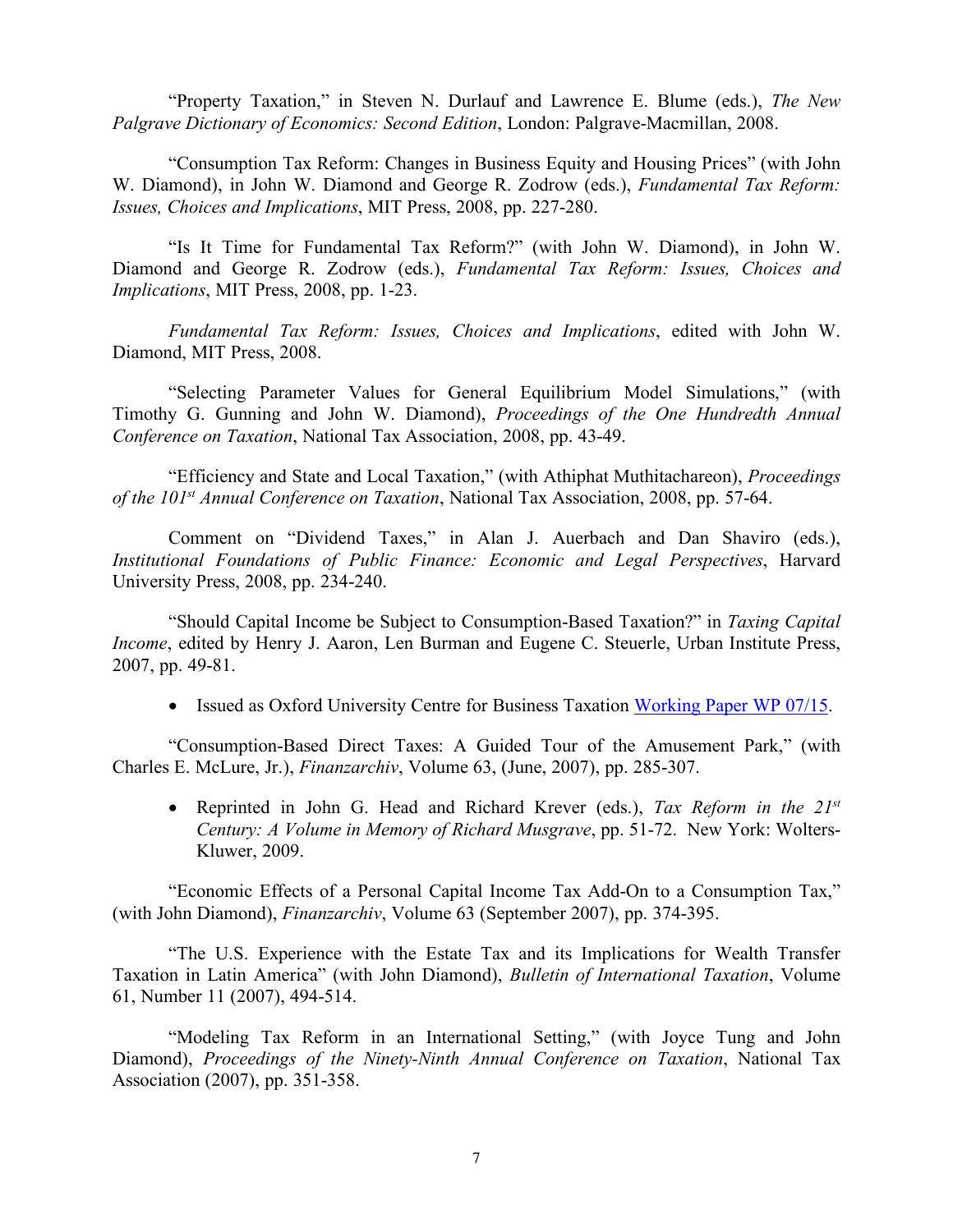"Property Taxation," in Steven N. Durlauf and Lawrence E. Blume (eds.), *The New Palgrave Dictionary of Economics: Second Edition*, London: Palgrave-Macmillan, 2008.

"Consumption Tax Reform: Changes in Business Equity and Housing Prices" (with John W. Diamond), in John W. Diamond and George R. Zodrow (eds.), *Fundamental Tax Reform: Issues, Choices and Implications*, MIT Press, 2008, pp. 227-280.

"Is It Time for Fundamental Tax Reform?" (with John W. Diamond), in John W. Diamond and George R. Zodrow (eds.), *Fundamental Tax Reform: Issues, Choices and Implications*, MIT Press, 2008, pp. 1-23.

*Fundamental Tax Reform: Issues, Choices and Implications*, edited with John W. Diamond, MIT Press, 2008.

"Selecting Parameter Values for General Equilibrium Model Simulations," (with Timothy G. Gunning and John W. Diamond), *Proceedings of the One Hundredth Annual Conference on Taxation*, National Tax Association, 2008, pp. 43-49.

"Efficiency and State and Local Taxation," (with Athiphat Muthitachareon), *Proceedings of the 101st Annual Conference on Taxation*, National Tax Association, 2008, pp. 57-64.

Comment on "Dividend Taxes," in Alan J. Auerbach and Dan Shaviro (eds.), *Institutional Foundations of Public Finance: Economic and Legal Perspectives*, Harvard University Press, 2008, pp. 234-240.

"Should Capital Income be Subject to Consumption-Based Taxation?" in *Taxing Capital Income*, edited by Henry J. Aaron, Len Burman and Eugene C. Steuerle, Urban Institute Press, 2007, pp. 49-81.

• Issued as Oxford University Centre for Business Taxation Working Paper WP 07/15.

"Consumption-Based Direct Taxes: A Guided Tour of the Amusement Park," (with Charles E. McLure, Jr.), *Finanzarchiv*, Volume 63, (June, 2007), pp. 285-307.

• Reprinted in John G. Head and Richard Krever (eds.), *Tax Reform in the 21st Century: A Volume in Memory of Richard Musgrave*, pp. 51-72. New York: Wolters-Kluwer, 2009.

"Economic Effects of a Personal Capital Income Tax Add-On to a Consumption Tax," (with John Diamond), *Finanzarchiv*, Volume 63 (September 2007), pp. 374-395.

"The U.S. Experience with the Estate Tax and its Implications for Wealth Transfer Taxation in Latin America" (with John Diamond), *Bulletin of International Taxation*, Volume 61, Number 11 (2007), 494-514.

"Modeling Tax Reform in an International Setting," (with Joyce Tung and John Diamond), *Proceedings of the Ninety-Ninth Annual Conference on Taxation*, National Tax Association (2007), pp. 351-358.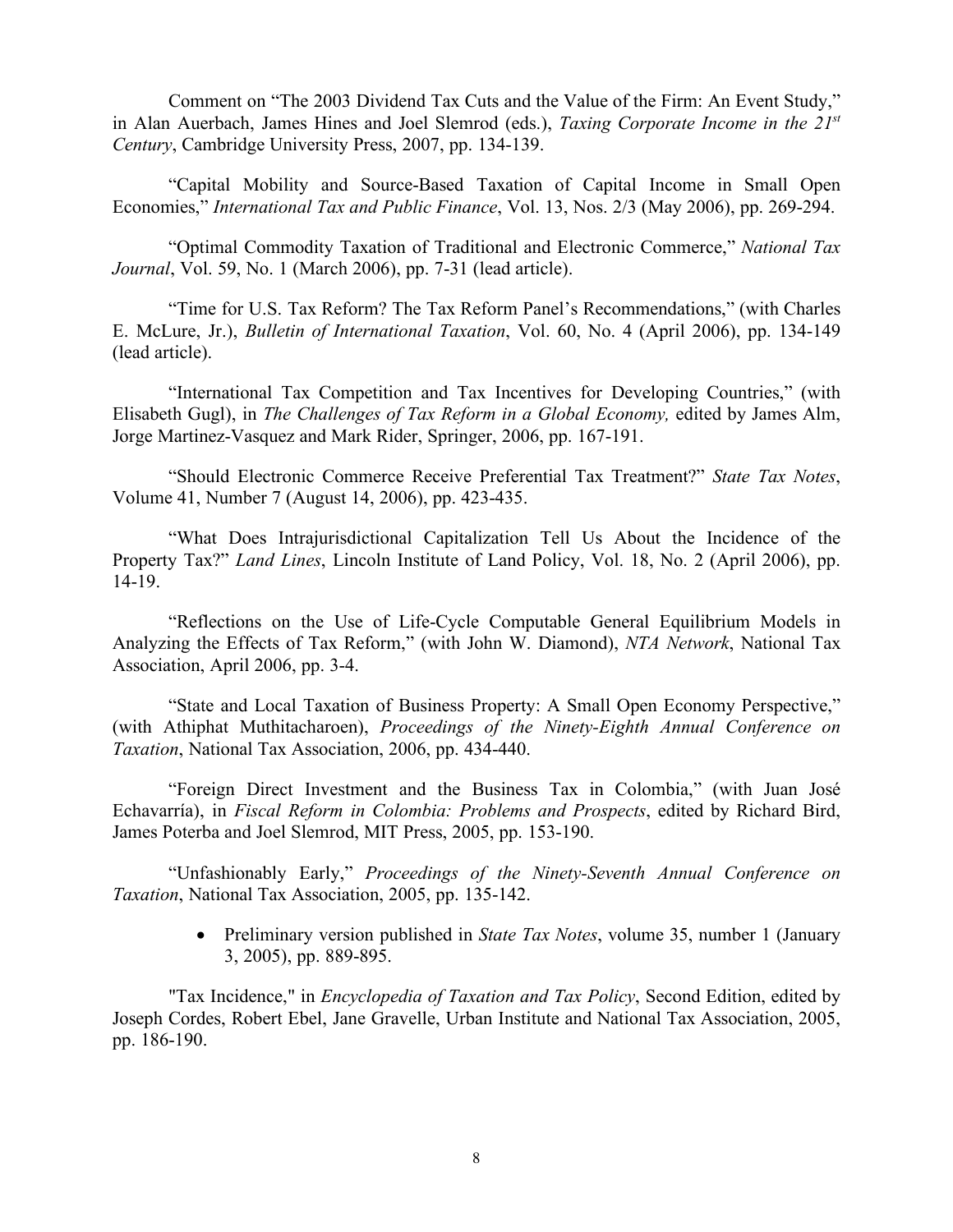Comment on "The 2003 Dividend Tax Cuts and the Value of the Firm: An Event Study," in Alan Auerbach, James Hines and Joel Slemrod (eds.), *Taxing Corporate Income in the 21st Century*, Cambridge University Press, 2007, pp. 134-139.

"Capital Mobility and Source-Based Taxation of Capital Income in Small Open Economies," *International Tax and Public Finance*, Vol. 13, Nos. 2/3 (May 2006), pp. 269-294.

"Optimal Commodity Taxation of Traditional and Electronic Commerce," *National Tax Journal*, Vol. 59, No. 1 (March 2006), pp. 7-31 (lead article).

"Time for U.S. Tax Reform? The Tax Reform Panel's Recommendations," (with Charles E. McLure, Jr.), *Bulletin of International Taxation*, Vol. 60, No. 4 (April 2006), pp. 134-149 (lead article).

"International Tax Competition and Tax Incentives for Developing Countries," (with Elisabeth Gugl), in *The Challenges of Tax Reform in a Global Economy,* edited by James Alm, Jorge Martinez-Vasquez and Mark Rider, Springer, 2006, pp. 167-191.

"Should Electronic Commerce Receive Preferential Tax Treatment?" *State Tax Notes*, Volume 41, Number 7 (August 14, 2006), pp. 423-435.

"What Does Intrajurisdictional Capitalization Tell Us About the Incidence of the Property Tax?" *Land Lines*, Lincoln Institute of Land Policy, Vol. 18, No. 2 (April 2006), pp. 14-19.

"Reflections on the Use of Life-Cycle Computable General Equilibrium Models in Analyzing the Effects of Tax Reform," (with John W. Diamond), *NTA Network*, National Tax Association, April 2006, pp. 3-4.

"State and Local Taxation of Business Property: A Small Open Economy Perspective," (with Athiphat Muthitacharoen), *Proceedings of the Ninety-Eighth Annual Conference on Taxation*, National Tax Association, 2006, pp. 434-440.

"Foreign Direct Investment and the Business Tax in Colombia," (with Juan José Echavarría), in *Fiscal Reform in Colombia: Problems and Prospects*, edited by Richard Bird, James Poterba and Joel Slemrod, MIT Press, 2005, pp. 153-190.

"Unfashionably Early," *Proceedings of the Ninety-Seventh Annual Conference on Taxation*, National Tax Association, 2005, pp. 135-142.

> • Preliminary version published in *State Tax Notes*, volume 35, number 1 (January 3, 2005), pp. 889-895.

"Tax Incidence," in *Encyclopedia of Taxation and Tax Policy*, Second Edition, edited by Joseph Cordes, Robert Ebel, Jane Gravelle, Urban Institute and National Tax Association, 2005, pp. 186-190.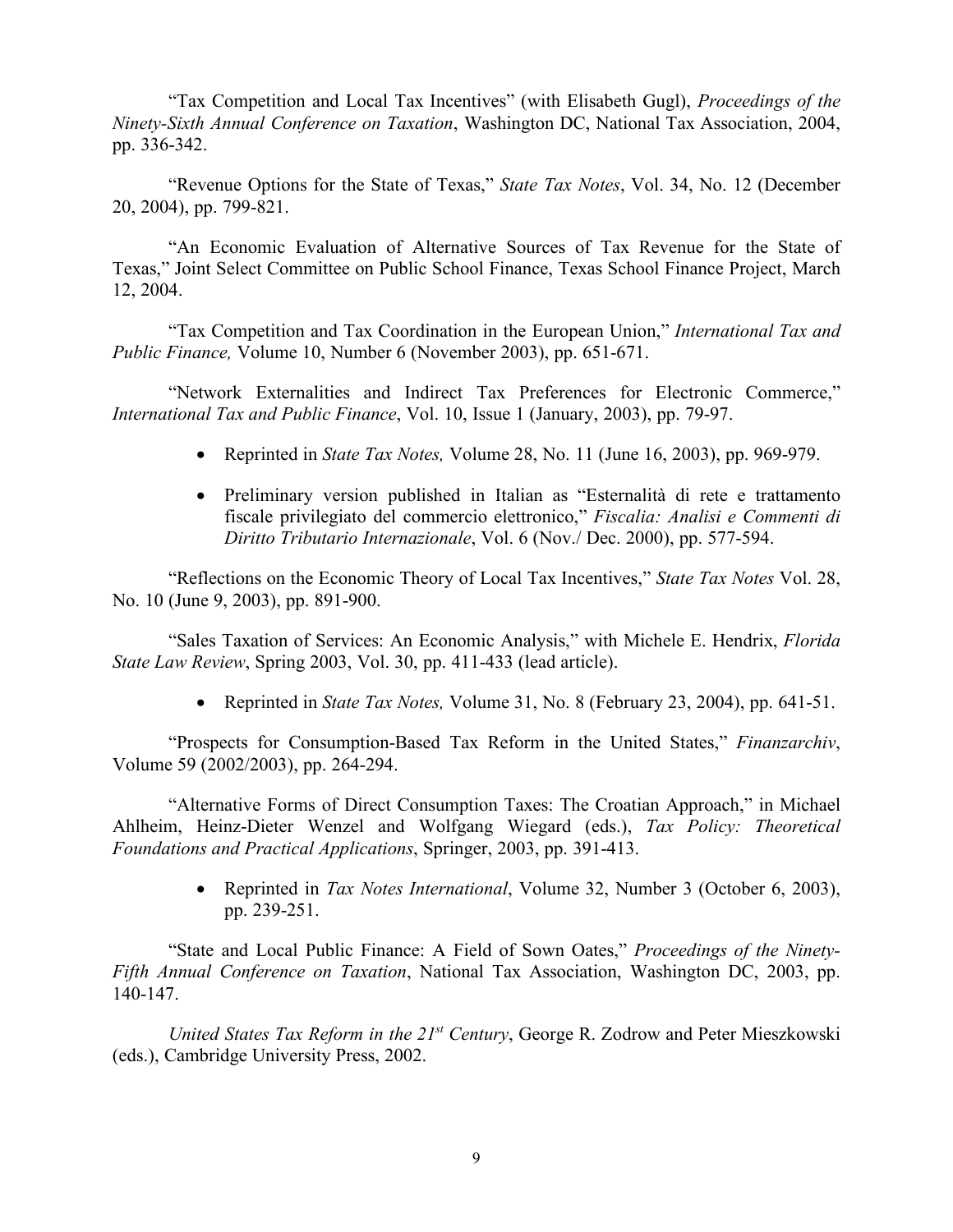"Tax Competition and Local Tax Incentives" (with Elisabeth Gugl), *Proceedings of the Ninety-Sixth Annual Conference on Taxation*, Washington DC, National Tax Association, 2004, pp. 336-342.

"Revenue Options for the State of Texas," *State Tax Notes*, Vol. 34, No. 12 (December 20, 2004), pp. 799-821.

"An Economic Evaluation of Alternative Sources of Tax Revenue for the State of Texas," Joint Select Committee on Public School Finance, Texas School Finance Project, March 12, 2004.

"Tax Competition and Tax Coordination in the European Union," *International Tax and Public Finance,* Volume 10, Number 6 (November 2003), pp. 651-671.

"Network Externalities and Indirect Tax Preferences for Electronic Commerce," *International Tax and Public Finance*, Vol. 10, Issue 1 (January, 2003), pp. 79-97.

- Reprinted in *State Tax Notes,* Volume 28, No. 11 (June 16, 2003), pp. 969-979.
- Preliminary version published in Italian as "Esternalità di rete e trattamento fiscale privilegiato del commercio elettronico," *Fiscalia: Analisi e Commenti di Diritto Tributario Internazionale*, Vol. 6 (Nov./ Dec. 2000), pp. 577-594.

"Reflections on the Economic Theory of Local Tax Incentives," *State Tax Notes* Vol. 28, No. 10 (June 9, 2003), pp. 891-900.

"Sales Taxation of Services: An Economic Analysis," with Michele E. Hendrix, *Florida State Law Review*, Spring 2003, Vol. 30, pp. 411-433 (lead article).

• Reprinted in *State Tax Notes,* Volume 31, No. 8 (February 23, 2004), pp. 641-51.

"Prospects for Consumption-Based Tax Reform in the United States," *Finanzarchiv*, Volume 59 (2002/2003), pp. 264-294.

"Alternative Forms of Direct Consumption Taxes: The Croatian Approach," in Michael Ahlheim, Heinz-Dieter Wenzel and Wolfgang Wiegard (eds.), *Tax Policy: Theoretical Foundations and Practical Applications*, Springer, 2003, pp. 391-413.

> • Reprinted in *Tax Notes International*, Volume 32, Number 3 (October 6, 2003), pp. 239-251.

"State and Local Public Finance: A Field of Sown Oates," *Proceedings of the Ninety-Fifth Annual Conference on Taxation*, National Tax Association, Washington DC, 2003, pp. 140-147.

*United States Tax Reform in the 21st Century*, George R. Zodrow and Peter Mieszkowski (eds.), Cambridge University Press, 2002.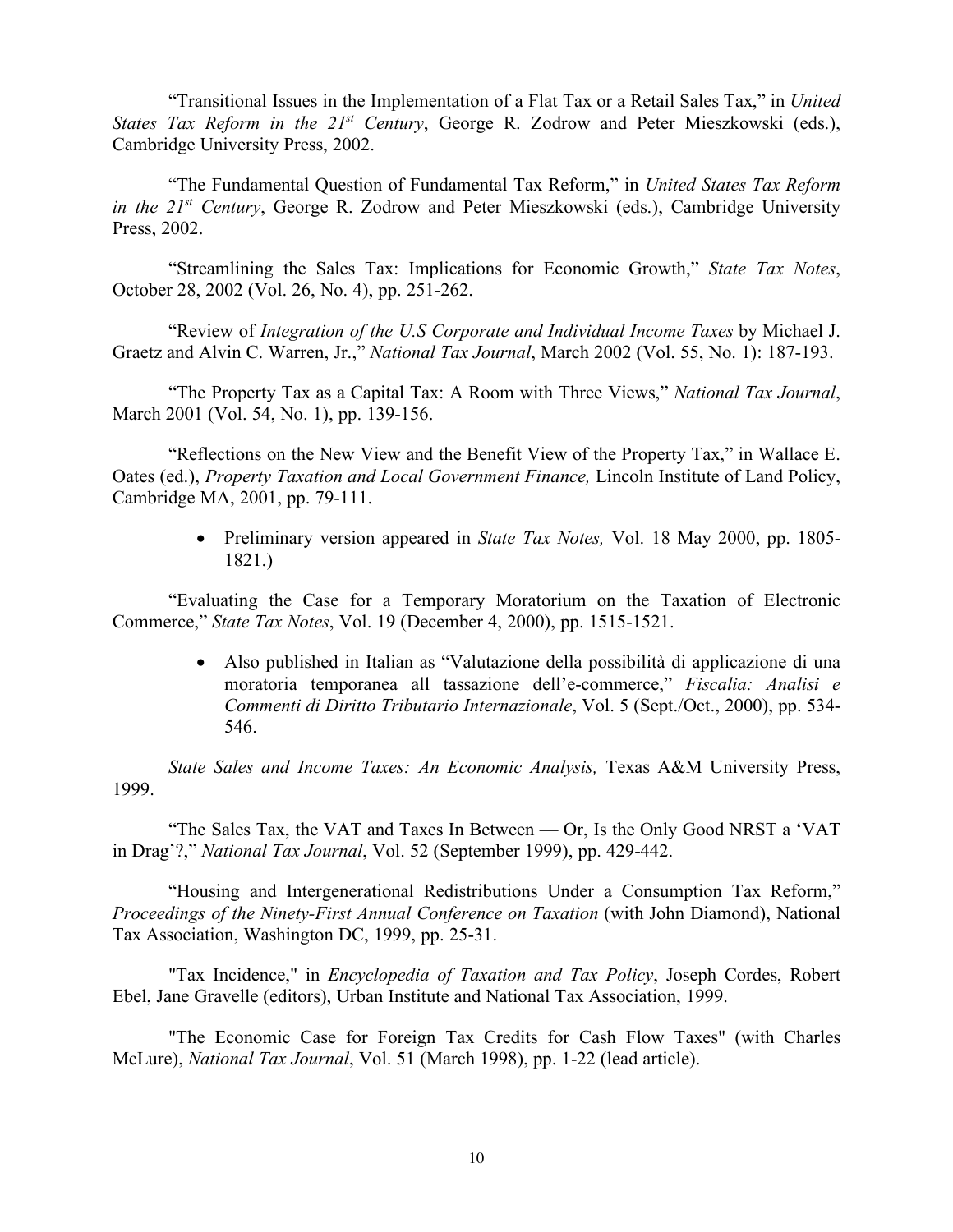"Transitional Issues in the Implementation of a Flat Tax or a Retail Sales Tax," in *United States Tax Reform in the 21st Century*, George R. Zodrow and Peter Mieszkowski (eds.), Cambridge University Press, 2002.

"The Fundamental Question of Fundamental Tax Reform," in *United States Tax Reform in the 21st Century*, George R. Zodrow and Peter Mieszkowski (eds.), Cambridge University Press, 2002.

"Streamlining the Sales Tax: Implications for Economic Growth," *State Tax Notes*, October 28, 2002 (Vol. 26, No. 4), pp. 251-262.

"Review of *Integration of the U.S Corporate and Individual Income Taxes* by Michael J. Graetz and Alvin C. Warren, Jr.," *National Tax Journal*, March 2002 (Vol. 55, No. 1): 187-193.

"The Property Tax as a Capital Tax: A Room with Three Views," *National Tax Journal*, March 2001 (Vol. 54, No. 1), pp. 139-156.

"Reflections on the New View and the Benefit View of the Property Tax," in Wallace E. Oates (ed.), *Property Taxation and Local Government Finance,* Lincoln Institute of Land Policy, Cambridge MA, 2001, pp. 79-111.

> • Preliminary version appeared in *State Tax Notes,* Vol. 18 May 2000, pp. 1805- 1821.)

"Evaluating the Case for a Temporary Moratorium on the Taxation of Electronic Commerce," *State Tax Notes*, Vol. 19 (December 4, 2000), pp. 1515-1521.

> • Also published in Italian as "Valutazione della possibilità di applicazione di una moratoria temporanea all tassazione dell'e-commerce," *Fiscalia: Analisi e Commenti di Diritto Tributario Internazionale*, Vol. 5 (Sept./Oct., 2000), pp. 534- 546.

*State Sales and Income Taxes: An Economic Analysis,* Texas A&M University Press, 1999.

"The Sales Tax, the VAT and Taxes In Between — Or, Is the Only Good NRST a 'VAT in Drag'?," *National Tax Journal*, Vol. 52 (September 1999), pp. 429-442.

"Housing and Intergenerational Redistributions Under a Consumption Tax Reform," *Proceedings of the Ninety-First Annual Conference on Taxation* (with John Diamond), National Tax Association, Washington DC, 1999, pp. 25-31.

"Tax Incidence," in *Encyclopedia of Taxation and Tax Policy*, Joseph Cordes, Robert Ebel, Jane Gravelle (editors), Urban Institute and National Tax Association, 1999.

"The Economic Case for Foreign Tax Credits for Cash Flow Taxes" (with Charles McLure), *National Tax Journal*, Vol. 51 (March 1998), pp. 1-22 (lead article).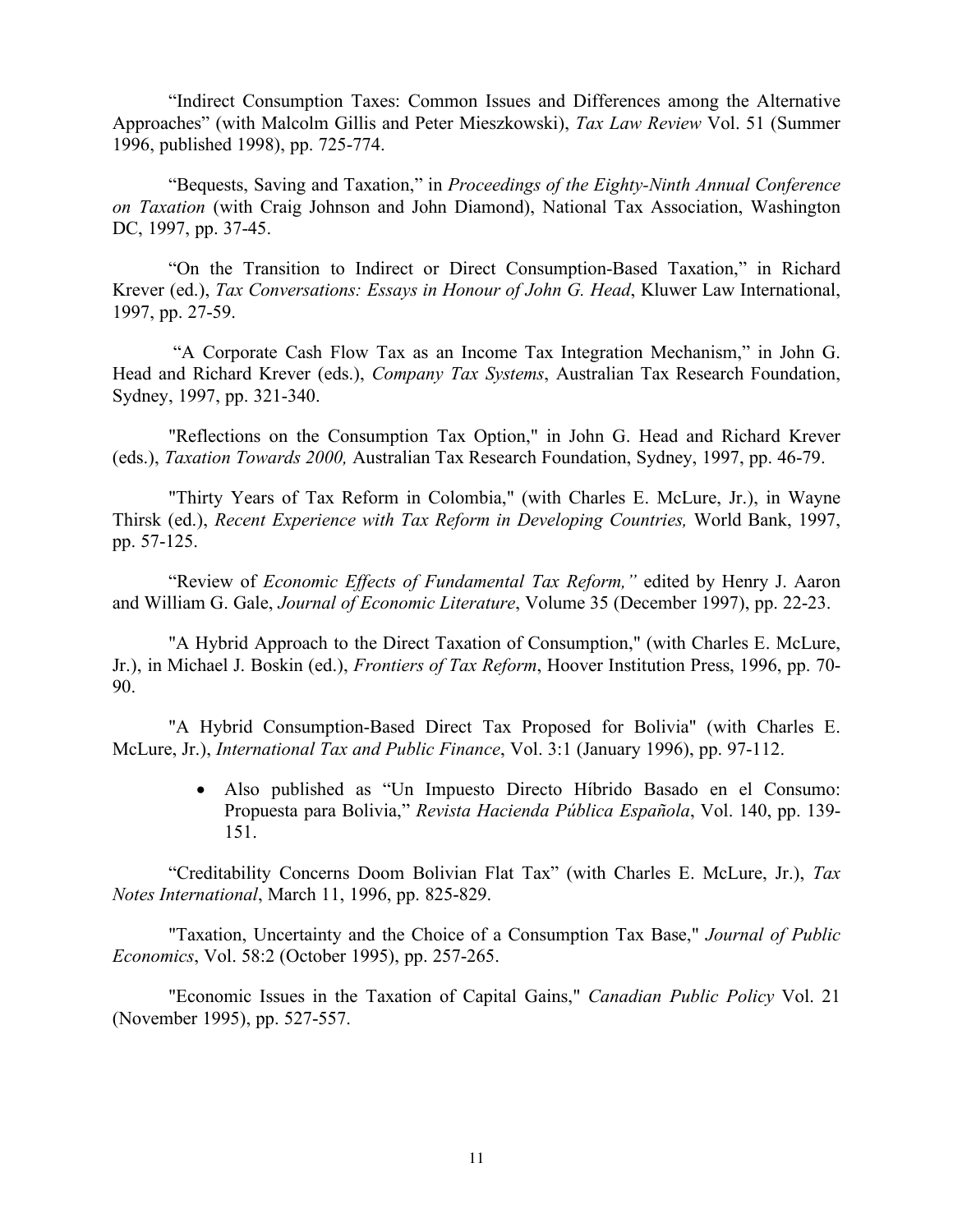"Indirect Consumption Taxes: Common Issues and Differences among the Alternative Approaches" (with Malcolm Gillis and Peter Mieszkowski), *Tax Law Review* Vol. 51 (Summer 1996, published 1998), pp. 725-774.

"Bequests, Saving and Taxation," in *Proceedings of the Eighty-Ninth Annual Conference on Taxation* (with Craig Johnson and John Diamond), National Tax Association, Washington DC, 1997, pp. 37-45.

"On the Transition to Indirect or Direct Consumption-Based Taxation," in Richard Krever (ed.), *Tax Conversations: Essays in Honour of John G. Head*, Kluwer Law International, 1997, pp. 27-59.

"A Corporate Cash Flow Tax as an Income Tax Integration Mechanism," in John G. Head and Richard Krever (eds.), *Company Tax Systems*, Australian Tax Research Foundation, Sydney, 1997, pp. 321-340.

"Reflections on the Consumption Tax Option," in John G. Head and Richard Krever (eds.), *Taxation Towards 2000,* Australian Tax Research Foundation, Sydney, 1997, pp. 46-79.

"Thirty Years of Tax Reform in Colombia," (with Charles E. McLure, Jr.), in Wayne Thirsk (ed.), *Recent Experience with Tax Reform in Developing Countries,* World Bank, 1997, pp. 57-125.

"Review of *Economic Effects of Fundamental Tax Reform,"* edited by Henry J. Aaron and William G. Gale, *Journal of Economic Literature*, Volume 35 (December 1997), pp. 22-23.

"A Hybrid Approach to the Direct Taxation of Consumption," (with Charles E. McLure, Jr.), in Michael J. Boskin (ed.), *Frontiers of Tax Reform*, Hoover Institution Press, 1996, pp. 70- 90.

"A Hybrid Consumption-Based Direct Tax Proposed for Bolivia" (with Charles E. McLure, Jr.), *International Tax and Public Finance*, Vol. 3:1 (January 1996), pp. 97-112.

> • Also published as "Un Impuesto Directo Híbrido Basado en el Consumo: Propuesta para Bolivia," *Revista Hacienda Pública Española*, Vol. 140, pp. 139- 151.

"Creditability Concerns Doom Bolivian Flat Tax" (with Charles E. McLure, Jr.), *Tax Notes International*, March 11, 1996, pp. 825-829.

"Taxation, Uncertainty and the Choice of a Consumption Tax Base," *Journal of Public Economics*, Vol. 58:2 (October 1995), pp. 257-265.

"Economic Issues in the Taxation of Capital Gains," *Canadian Public Policy* Vol. 21 (November 1995), pp. 527-557.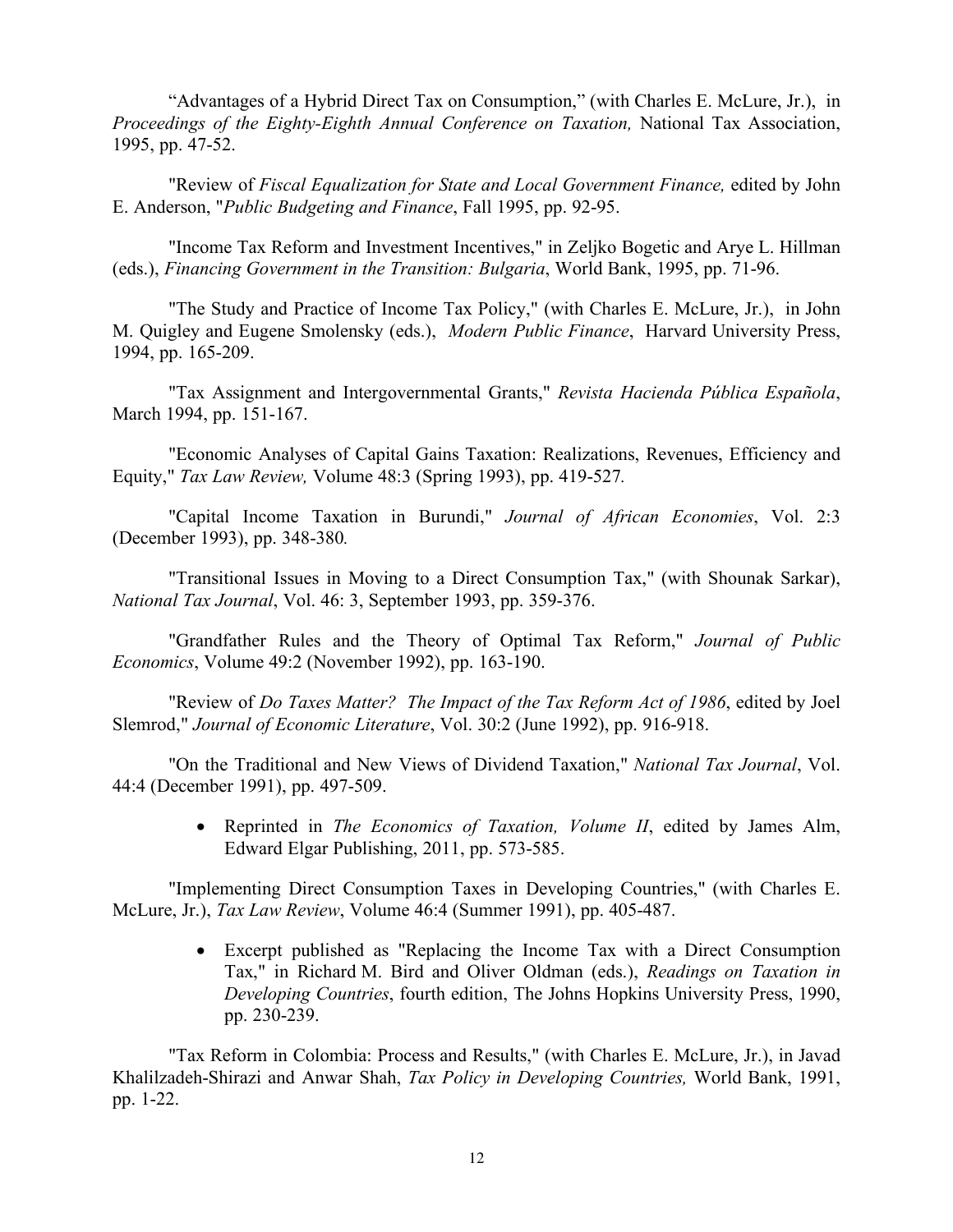"Advantages of a Hybrid Direct Tax on Consumption," (with Charles E. McLure, Jr.), in *Proceedings of the Eighty-Eighth Annual Conference on Taxation,* National Tax Association, 1995, pp. 47-52.

"Review of *Fiscal Equalization for State and Local Government Finance,* edited by John E. Anderson, "*Public Budgeting and Finance*, Fall 1995, pp. 92-95.

"Income Tax Reform and Investment Incentives," in Zeljko Bogetic and Arye L. Hillman (eds.), *Financing Government in the Transition: Bulgaria*, World Bank, 1995, pp. 71-96.

"The Study and Practice of Income Tax Policy," (with Charles E. McLure, Jr.), in John M. Quigley and Eugene Smolensky (eds.), *Modern Public Finance*, Harvard University Press, 1994, pp. 165-209.

"Tax Assignment and Intergovernmental Grants," *Revista Hacienda Pública Española*, March 1994, pp. 151-167.

"Economic Analyses of Capital Gains Taxation: Realizations, Revenues, Efficiency and Equity," *Tax Law Review,* Volume 48:3 (Spring 1993), pp. 419-527*.* 

"Capital Income Taxation in Burundi," *Journal of African Economies*, Vol. 2:3 (December 1993), pp. 348-380*.*

"Transitional Issues in Moving to a Direct Consumption Tax," (with Shounak Sarkar), *National Tax Journal*, Vol. 46: 3, September 1993, pp. 359-376.

"Grandfather Rules and the Theory of Optimal Tax Reform," *Journal of Public Economics*, Volume 49:2 (November 1992), pp. 163-190.

"Review of *Do Taxes Matter? The Impact of the Tax Reform Act of 1986*, edited by Joel Slemrod," *Journal of Economic Literature*, Vol. 30:2 (June 1992), pp. 916-918.

"On the Traditional and New Views of Dividend Taxation," *National Tax Journal*, Vol. 44:4 (December 1991), pp. 497-509.

> • Reprinted in *The Economics of Taxation, Volume II*, edited by James Alm, Edward Elgar Publishing, 2011, pp. 573-585.

"Implementing Direct Consumption Taxes in Developing Countries," (with Charles E. McLure, Jr.), *Tax Law Review*, Volume 46:4 (Summer 1991), pp. 405-487.

> • Excerpt published as "Replacing the Income Tax with a Direct Consumption Tax," in Richard M. Bird and Oliver Oldman (eds.), *Readings on Taxation in Developing Countries*, fourth edition, The Johns Hopkins University Press, 1990, pp. 230-239.

"Tax Reform in Colombia: Process and Results," (with Charles E. McLure, Jr.), in Javad Khalilzadeh-Shirazi and Anwar Shah, *Tax Policy in Developing Countries,* World Bank, 1991, pp. 1-22.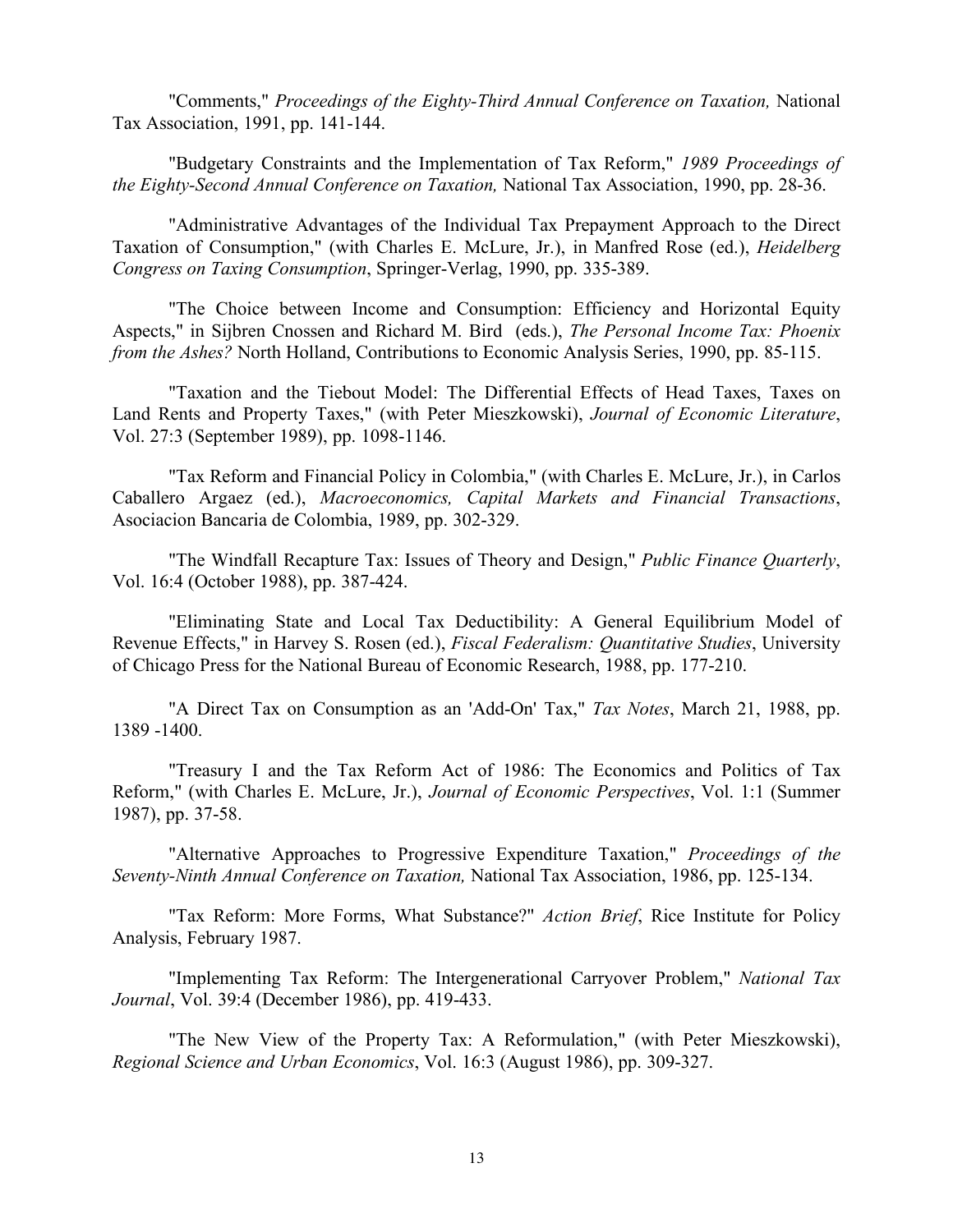"Comments," *Proceedings of the Eighty-Third Annual Conference on Taxation,* National Tax Association, 1991, pp. 141-144.

"Budgetary Constraints and the Implementation of Tax Reform," *1989 Proceedings of the Eighty-Second Annual Conference on Taxation,* National Tax Association, 1990, pp. 28-36.

"Administrative Advantages of the Individual Tax Prepayment Approach to the Direct Taxation of Consumption," (with Charles E. McLure, Jr.), in Manfred Rose (ed.), *Heidelberg Congress on Taxing Consumption*, Springer-Verlag, 1990, pp. 335-389.

"The Choice between Income and Consumption: Efficiency and Horizontal Equity Aspects," in Sijbren Cnossen and Richard M. Bird (eds.), *The Personal Income Tax: Phoenix from the Ashes?* North Holland, Contributions to Economic Analysis Series, 1990, pp. 85-115.

"Taxation and the Tiebout Model: The Differential Effects of Head Taxes, Taxes on Land Rents and Property Taxes," (with Peter Mieszkowski), *Journal of Economic Literature*, Vol. 27:3 (September 1989), pp. 1098-1146.

"Tax Reform and Financial Policy in Colombia," (with Charles E. McLure, Jr.), in Carlos Caballero Argaez (ed.), *Macroeconomics, Capital Markets and Financial Transactions*, Asociacion Bancaria de Colombia, 1989, pp. 302-329.

"The Windfall Recapture Tax: Issues of Theory and Design," *Public Finance Quarterly*, Vol. 16:4 (October 1988), pp. 387-424.

"Eliminating State and Local Tax Deductibility: A General Equilibrium Model of Revenue Effects," in Harvey S. Rosen (ed.), *Fiscal Federalism: Quantitative Studies*, University of Chicago Press for the National Bureau of Economic Research, 1988, pp. 177-210.

"A Direct Tax on Consumption as an 'Add-On' Tax," *Tax Notes*, March 21, 1988, pp. 1389 -1400.

"Treasury I and the Tax Reform Act of 1986: The Economics and Politics of Tax Reform," (with Charles E. McLure, Jr.), *Journal of Economic Perspectives*, Vol. 1:1 (Summer 1987), pp. 37-58.

"Alternative Approaches to Progressive Expenditure Taxation," *Proceedings of the Seventy-Ninth Annual Conference on Taxation,* National Tax Association, 1986, pp. 125-134.

"Tax Reform: More Forms, What Substance?" *Action Brief*, Rice Institute for Policy Analysis, February 1987.

"Implementing Tax Reform: The Intergenerational Carryover Problem," *National Tax Journal*, Vol. 39:4 (December 1986), pp. 419-433.

"The New View of the Property Tax: A Reformulation," (with Peter Mieszkowski), *Regional Science and Urban Economics*, Vol. 16:3 (August 1986), pp. 309-327.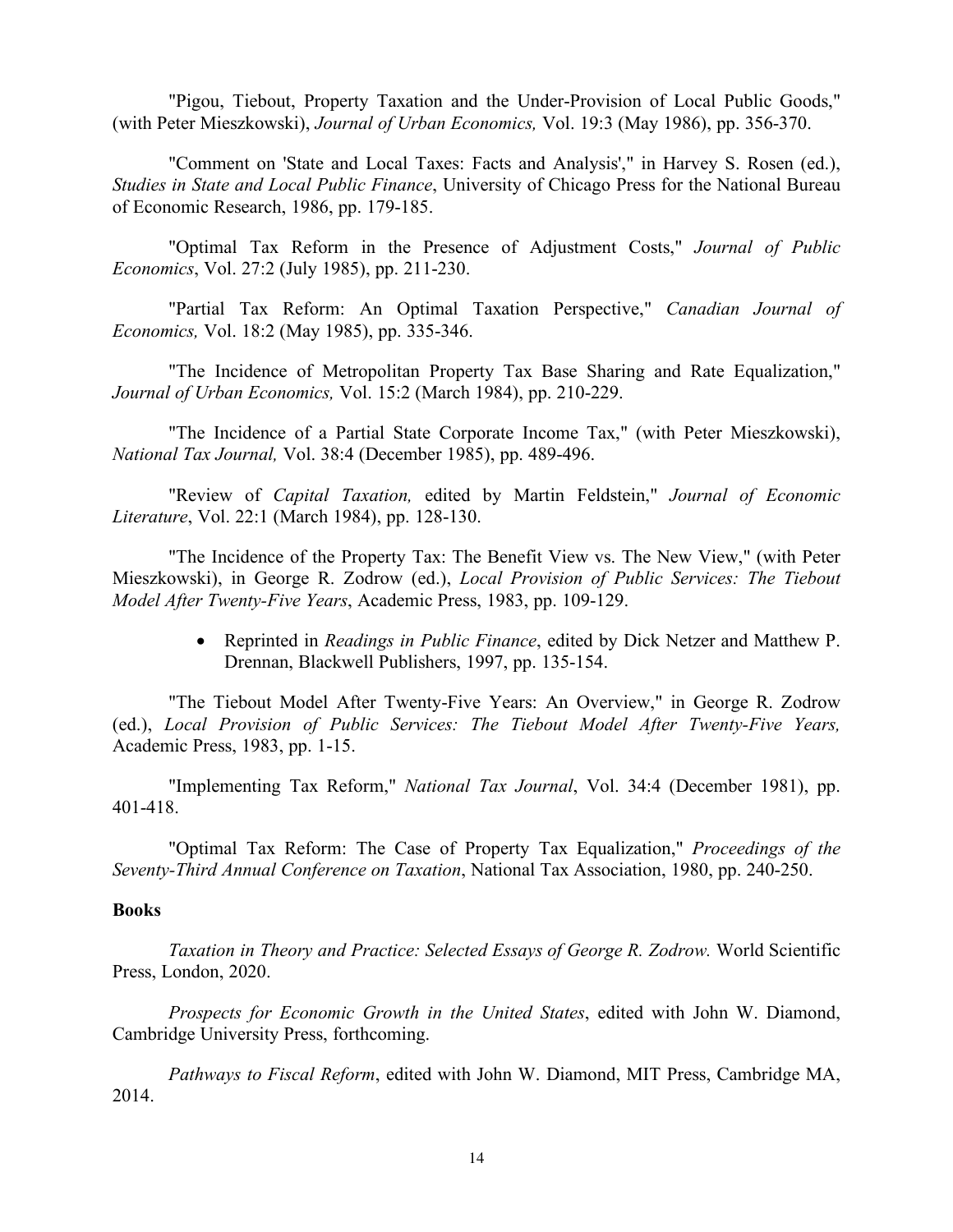"Pigou, Tiebout, Property Taxation and the Under-Provision of Local Public Goods," (with Peter Mieszkowski), *Journal of Urban Economics,* Vol. 19:3 (May 1986), pp. 356-370.

"Comment on 'State and Local Taxes: Facts and Analysis'," in Harvey S. Rosen (ed.), *Studies in State and Local Public Finance*, University of Chicago Press for the National Bureau of Economic Research, 1986, pp. 179-185.

"Optimal Tax Reform in the Presence of Adjustment Costs," *Journal of Public Economics*, Vol. 27:2 (July 1985), pp. 211-230.

"Partial Tax Reform: An Optimal Taxation Perspective," *Canadian Journal of Economics,* Vol. 18:2 (May 1985), pp. 335-346.

"The Incidence of Metropolitan Property Tax Base Sharing and Rate Equalization," *Journal of Urban Economics,* Vol. 15:2 (March 1984), pp. 210-229.

"The Incidence of a Partial State Corporate Income Tax," (with Peter Mieszkowski), *National Tax Journal,* Vol. 38:4 (December 1985), pp. 489-496.

"Review of *Capital Taxation,* edited by Martin Feldstein," *Journal of Economic Literature*, Vol. 22:1 (March 1984), pp. 128-130.

"The Incidence of the Property Tax: The Benefit View vs. The New View," (with Peter Mieszkowski), in George R. Zodrow (ed.), *Local Provision of Public Services: The Tiebout Model After Twenty-Five Years*, Academic Press, 1983, pp. 109-129.

> • Reprinted in *Readings in Public Finance*, edited by Dick Netzer and Matthew P. Drennan, Blackwell Publishers, 1997, pp. 135-154.

"The Tiebout Model After Twenty-Five Years: An Overview," in George R. Zodrow (ed.), *Local Provision of Public Services: The Tiebout Model After Twenty-Five Years,* Academic Press, 1983, pp. 1-15.

"Implementing Tax Reform," *National Tax Journal*, Vol. 34:4 (December 1981), pp. 401-418.

"Optimal Tax Reform: The Case of Property Tax Equalization," *Proceedings of the Seventy-Third Annual Conference on Taxation*, National Tax Association, 1980, pp. 240-250.

## **Books**

*Taxation in Theory and Practice: Selected Essays of George R. Zodrow.* World Scientific Press, London, 2020.

*Prospects for Economic Growth in the United States*, edited with John W. Diamond, Cambridge University Press, forthcoming.

*Pathways to Fiscal Reform*, edited with John W. Diamond, MIT Press, Cambridge MA, 2014.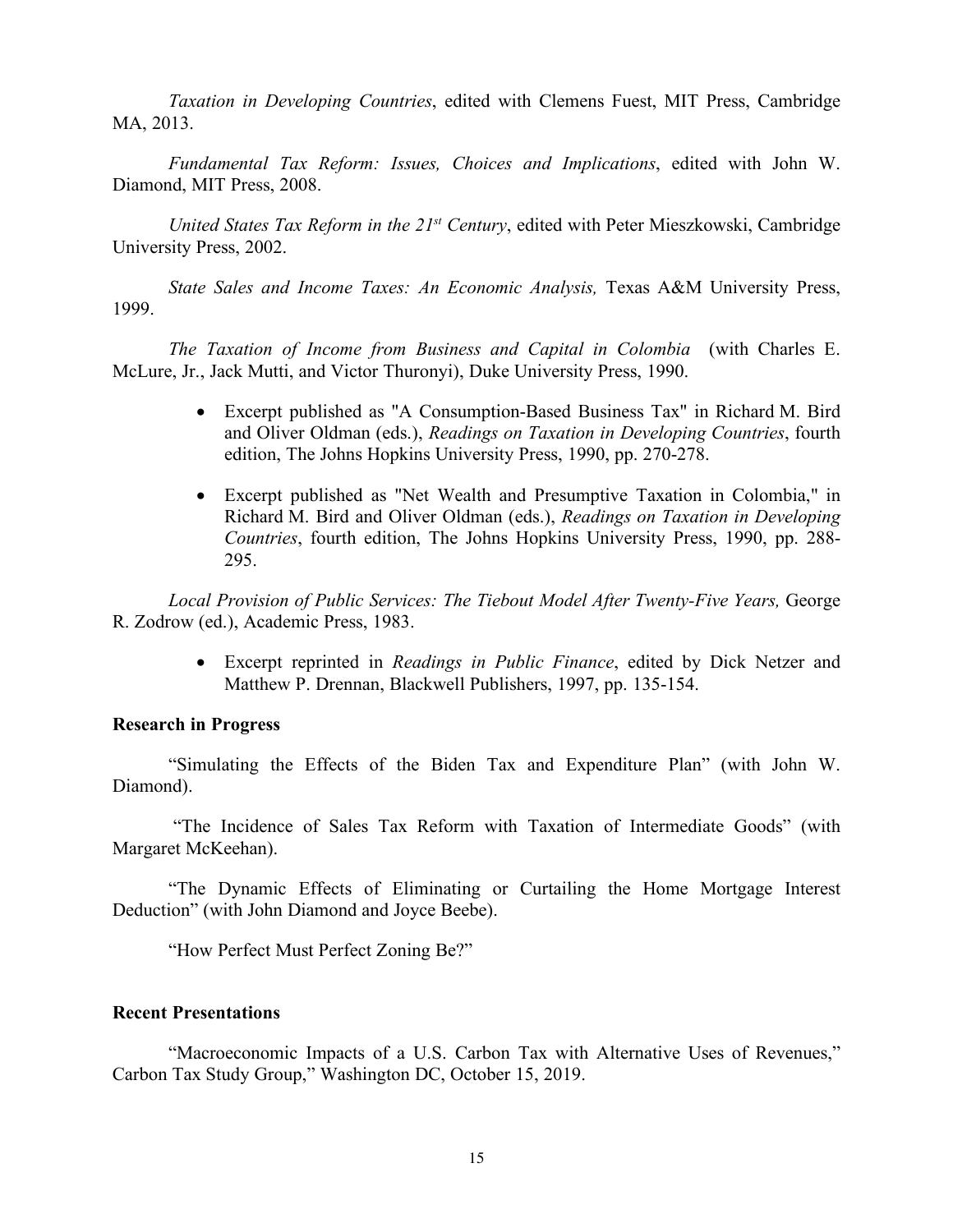*Taxation in Developing Countries*, edited with Clemens Fuest, MIT Press, Cambridge MA, 2013.

*Fundamental Tax Reform: Issues, Choices and Implications*, edited with John W. Diamond, MIT Press, 2008.

*United States Tax Reform in the 21st Century*, edited with Peter Mieszkowski, Cambridge University Press, 2002.

*State Sales and Income Taxes: An Economic Analysis,* Texas A&M University Press, 1999.

*The Taxation of Income from Business and Capital in Colombia* (with Charles E. McLure, Jr., Jack Mutti, and Victor Thuronyi), Duke University Press, 1990.

- Excerpt published as "A Consumption-Based Business Tax" in Richard M. Bird and Oliver Oldman (eds.), *Readings on Taxation in Developing Countries*, fourth edition, The Johns Hopkins University Press, 1990, pp. 270-278.
- Excerpt published as "Net Wealth and Presumptive Taxation in Colombia," in Richard M. Bird and Oliver Oldman (eds.), *Readings on Taxation in Developing Countries*, fourth edition, The Johns Hopkins University Press, 1990, pp. 288- 295.

*Local Provision of Public Services: The Tiebout Model After Twenty-Five Years,* George R. Zodrow (ed.), Academic Press, 1983.

> • Excerpt reprinted in *Readings in Public Finance*, edited by Dick Netzer and Matthew P. Drennan, Blackwell Publishers, 1997, pp. 135-154.

# **Research in Progress**

"Simulating the Effects of the Biden Tax and Expenditure Plan" (with John W. Diamond).

"The Incidence of Sales Tax Reform with Taxation of Intermediate Goods" (with Margaret McKeehan).

"The Dynamic Effects of Eliminating or Curtailing the Home Mortgage Interest Deduction" (with John Diamond and Joyce Beebe).

"How Perfect Must Perfect Zoning Be?"

# **Recent Presentations**

"Macroeconomic Impacts of a U.S. Carbon Tax with Alternative Uses of Revenues," Carbon Tax Study Group," Washington DC, October 15, 2019.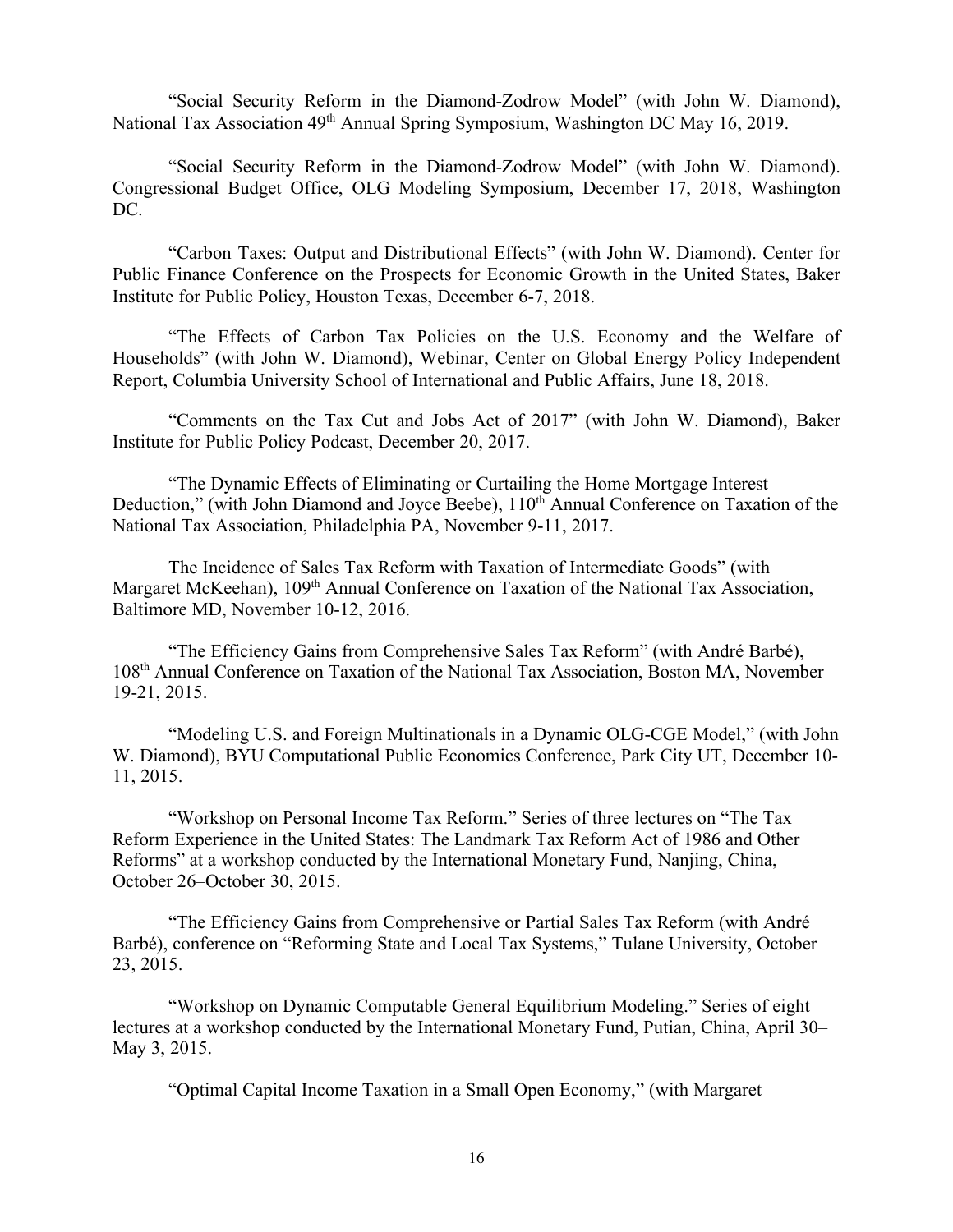"Social Security Reform in the Diamond-Zodrow Model" (with John W. Diamond), National Tax Association 49<sup>th</sup> Annual Spring Symposium, Washington DC May 16, 2019.

"Social Security Reform in the Diamond-Zodrow Model" (with John W. Diamond). Congressional Budget Office, OLG Modeling Symposium, December 17, 2018, Washington DC.

"Carbon Taxes: Output and Distributional Effects" (with John W. Diamond). Center for Public Finance Conference on the Prospects for Economic Growth in the United States, Baker Institute for Public Policy, Houston Texas, December 6-7, 2018.

"The Effects of Carbon Tax Policies on the U.S. Economy and the Welfare of Households" (with John W. Diamond), Webinar, Center on Global Energy Policy Independent Report, Columbia University School of International and Public Affairs, June 18, 2018.

"Comments on the Tax Cut and Jobs Act of 2017" (with John W. Diamond), Baker Institute for Public Policy Podcast, December 20, 2017.

"The Dynamic Effects of Eliminating or Curtailing the Home Mortgage Interest Deduction," (with John Diamond and Joyce Beebe), 110<sup>th</sup> Annual Conference on Taxation of the National Tax Association, Philadelphia PA, November 9-11, 2017.

The Incidence of Sales Tax Reform with Taxation of Intermediate Goods" (with Margaret McKeehan), 109<sup>th</sup> Annual Conference on Taxation of the National Tax Association, Baltimore MD, November 10-12, 2016.

"The Efficiency Gains from Comprehensive Sales Tax Reform" (with André Barbé), 108th Annual Conference on Taxation of the National Tax Association, Boston MA, November 19-21, 2015.

"Modeling U.S. and Foreign Multinationals in a Dynamic OLG-CGE Model," (with John W. Diamond), BYU Computational Public Economics Conference, Park City UT, December 10- 11, 2015.

"Workshop on Personal Income Tax Reform." Series of three lectures on "The Tax Reform Experience in the United States: The Landmark Tax Reform Act of 1986 and Other Reforms" at a workshop conducted by the International Monetary Fund, Nanjing, China, October 26–October 30, 2015.

"The Efficiency Gains from Comprehensive or Partial Sales Tax Reform (with André Barbé), conference on "Reforming State and Local Tax Systems," Tulane University, October 23, 2015.

"Workshop on Dynamic Computable General Equilibrium Modeling." Series of eight lectures at a workshop conducted by the International Monetary Fund, Putian, China, April 30– May 3, 2015.

"Optimal Capital Income Taxation in a Small Open Economy," (with Margaret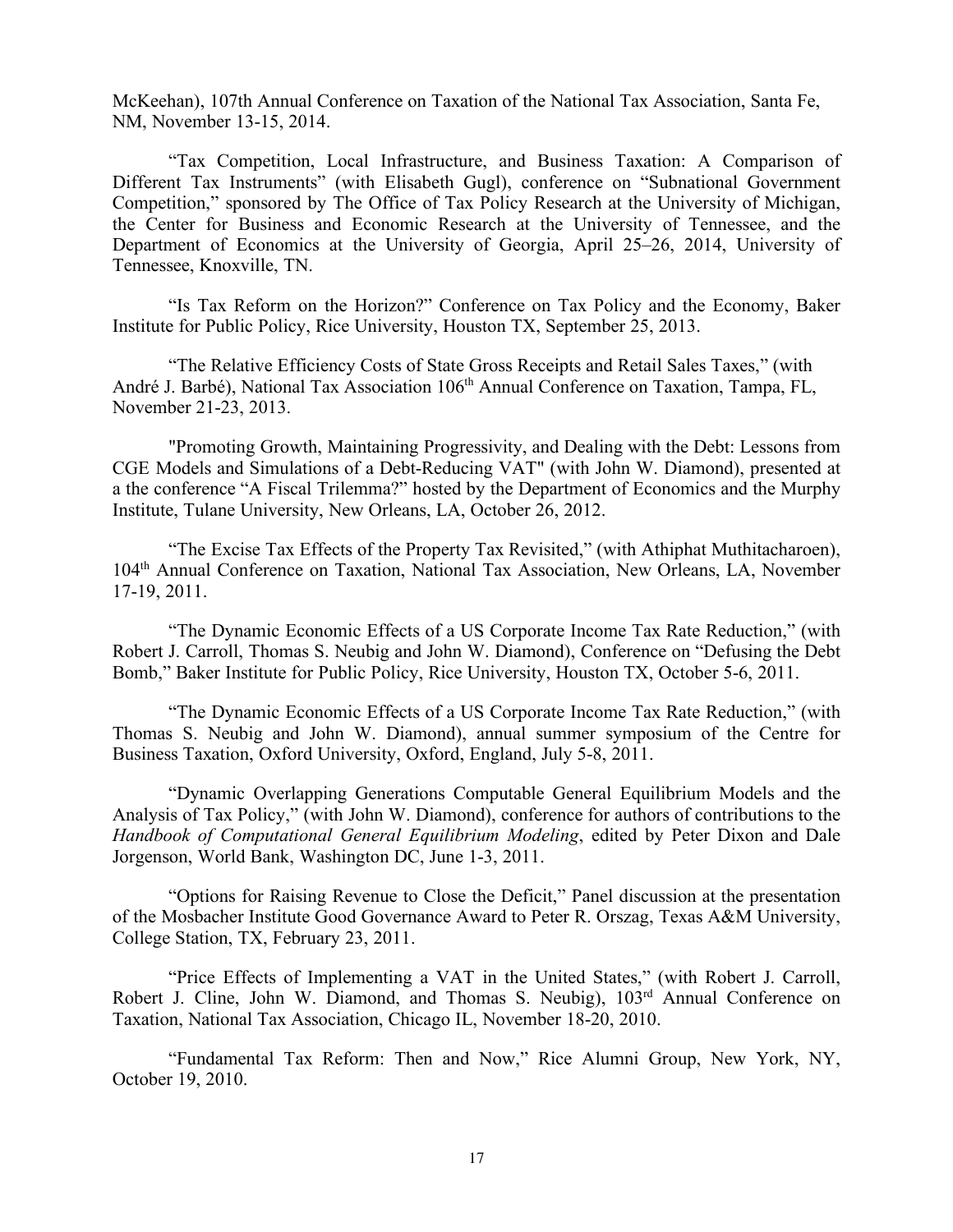McKeehan), 107th Annual Conference on Taxation of the National Tax Association, Santa Fe, NM, November 13-15, 2014.

"Tax Competition, Local Infrastructure, and Business Taxation: A Comparison of Different Tax Instruments" (with Elisabeth Gugl), conference on "Subnational Government Competition," sponsored by The Office of Tax Policy Research at the University of Michigan, the Center for Business and Economic Research at the University of Tennessee, and the Department of Economics at the University of Georgia, April 25–26, 2014, University of Tennessee, Knoxville, TN.

"Is Tax Reform on the Horizon?" Conference on Tax Policy and the Economy, Baker Institute for Public Policy, Rice University, Houston TX, September 25, 2013.

"The Relative Efficiency Costs of State Gross Receipts and Retail Sales Taxes," (with André J. Barbé), National Tax Association 106<sup>th</sup> Annual Conference on Taxation, Tampa, FL, November 21-23, 2013.

"Promoting Growth, Maintaining Progressivity, and Dealing with the Debt: Lessons from CGE Models and Simulations of a Debt-Reducing VAT" (with John W. Diamond), presented at a the conference "A Fiscal Trilemma?" hosted by the Department of Economics and the Murphy Institute, Tulane University, New Orleans, LA, October 26, 2012.

"The Excise Tax Effects of the Property Tax Revisited," (with Athiphat Muthitacharoen), 104th Annual Conference on Taxation, National Tax Association, New Orleans, LA, November 17-19, 2011.

"The Dynamic Economic Effects of a US Corporate Income Tax Rate Reduction," (with Robert J. Carroll, Thomas S. Neubig and John W. Diamond), Conference on "Defusing the Debt Bomb," Baker Institute for Public Policy, Rice University, Houston TX, October 5-6, 2011.

"The Dynamic Economic Effects of a US Corporate Income Tax Rate Reduction," (with Thomas S. Neubig and John W. Diamond), annual summer symposium of the Centre for Business Taxation, Oxford University, Oxford, England, July 5-8, 2011.

"Dynamic Overlapping Generations Computable General Equilibrium Models and the Analysis of Tax Policy," (with John W. Diamond), conference for authors of contributions to the *Handbook of Computational General Equilibrium Modeling*, edited by Peter Dixon and Dale Jorgenson, World Bank, Washington DC, June 1-3, 2011.

"Options for Raising Revenue to Close the Deficit," Panel discussion at the presentation of the Mosbacher Institute Good Governance Award to Peter R. Orszag, Texas A&M University, College Station, TX, February 23, 2011.

"Price Effects of Implementing a VAT in the United States," (with Robert J. Carroll, Robert J. Cline, John W. Diamond, and Thomas S. Neubig),  $103<sup>rd</sup>$  Annual Conference on Taxation, National Tax Association, Chicago IL, November 18-20, 2010.

"Fundamental Tax Reform: Then and Now," Rice Alumni Group, New York, NY, October 19, 2010.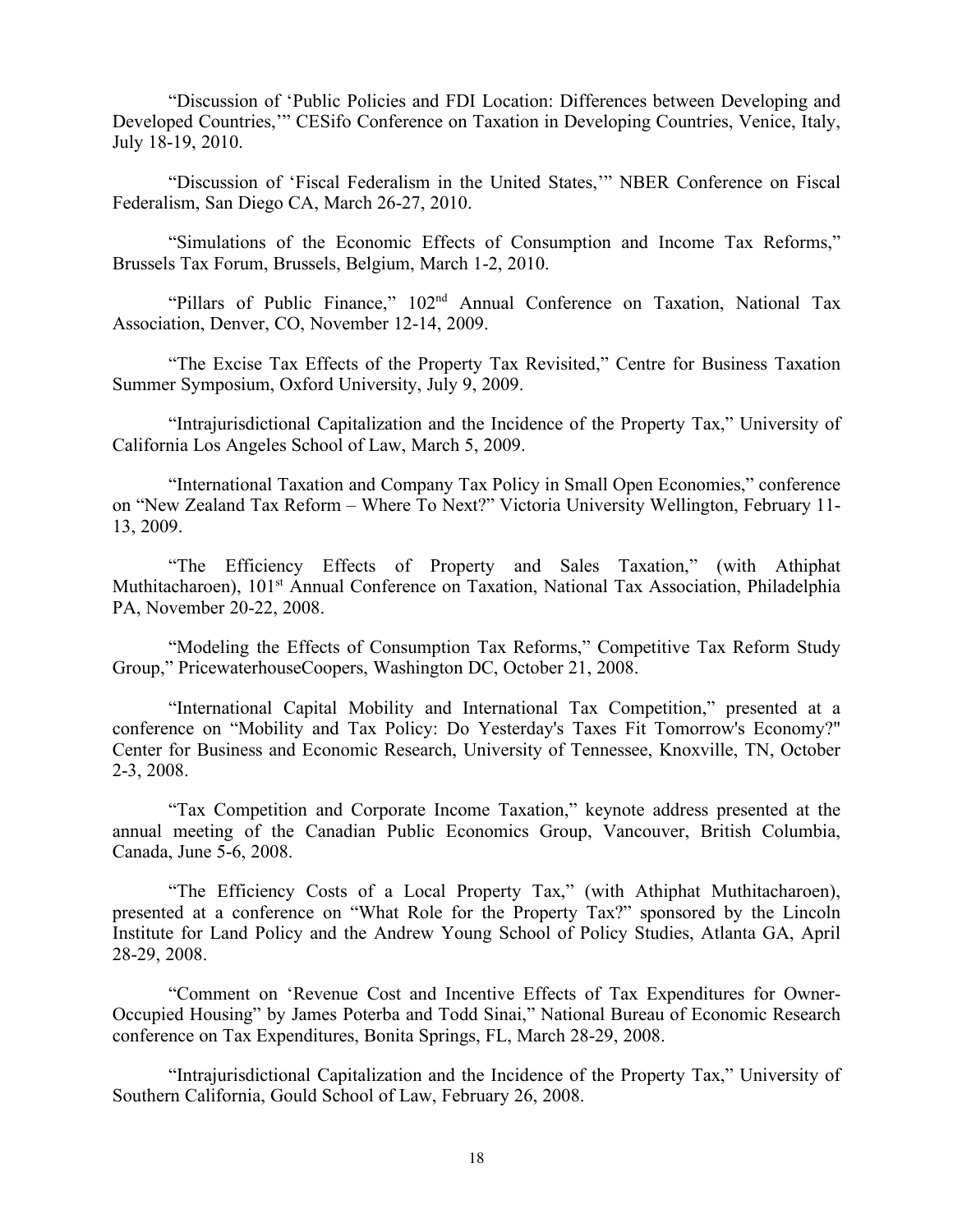"Discussion of 'Public Policies and FDI Location: Differences between Developing and Developed Countries,'" CESifo Conference on Taxation in Developing Countries, Venice, Italy, July 18-19, 2010.

"Discussion of 'Fiscal Federalism in the United States,'" NBER Conference on Fiscal Federalism, San Diego CA, March 26-27, 2010.

"Simulations of the Economic Effects of Consumption and Income Tax Reforms," Brussels Tax Forum, Brussels, Belgium, March 1-2, 2010.

"Pillars of Public Finance," 102nd Annual Conference on Taxation, National Tax Association, Denver, CO, November 12-14, 2009.

"The Excise Tax Effects of the Property Tax Revisited," Centre for Business Taxation Summer Symposium, Oxford University, July 9, 2009.

"Intrajurisdictional Capitalization and the Incidence of the Property Tax," University of California Los Angeles School of Law, March 5, 2009.

"International Taxation and Company Tax Policy in Small Open Economies," conference on "New Zealand Tax Reform – Where To Next?" Victoria University Wellington, February 11- 13, 2009.

"The Efficiency Effects of Property and Sales Taxation," (with Athiphat Muthitacharoen), 101<sup>st</sup> Annual Conference on Taxation, National Tax Association, Philadelphia PA, November 20-22, 2008.

"Modeling the Effects of Consumption Tax Reforms," Competitive Tax Reform Study Group," PricewaterhouseCoopers, Washington DC, October 21, 2008.

"International Capital Mobility and International Tax Competition," presented at a conference on "Mobility and Tax Policy: Do Yesterday's Taxes Fit Tomorrow's Economy?" Center for Business and Economic Research, University of Tennessee, Knoxville, TN, October 2-3, 2008.

"Tax Competition and Corporate Income Taxation," keynote address presented at the annual meeting of the Canadian Public Economics Group, Vancouver, British Columbia, Canada, June 5-6, 2008.

"The Efficiency Costs of a Local Property Tax," (with Athiphat Muthitacharoen), presented at a conference on "What Role for the Property Tax?" sponsored by the Lincoln Institute for Land Policy and the Andrew Young School of Policy Studies, Atlanta GA, April 28-29, 2008.

"Comment on 'Revenue Cost and Incentive Effects of Tax Expenditures for Owner-Occupied Housing" by James Poterba and Todd Sinai," National Bureau of Economic Research conference on Tax Expenditures, Bonita Springs, FL, March 28-29, 2008.

"Intrajurisdictional Capitalization and the Incidence of the Property Tax," University of Southern California, Gould School of Law, February 26, 2008.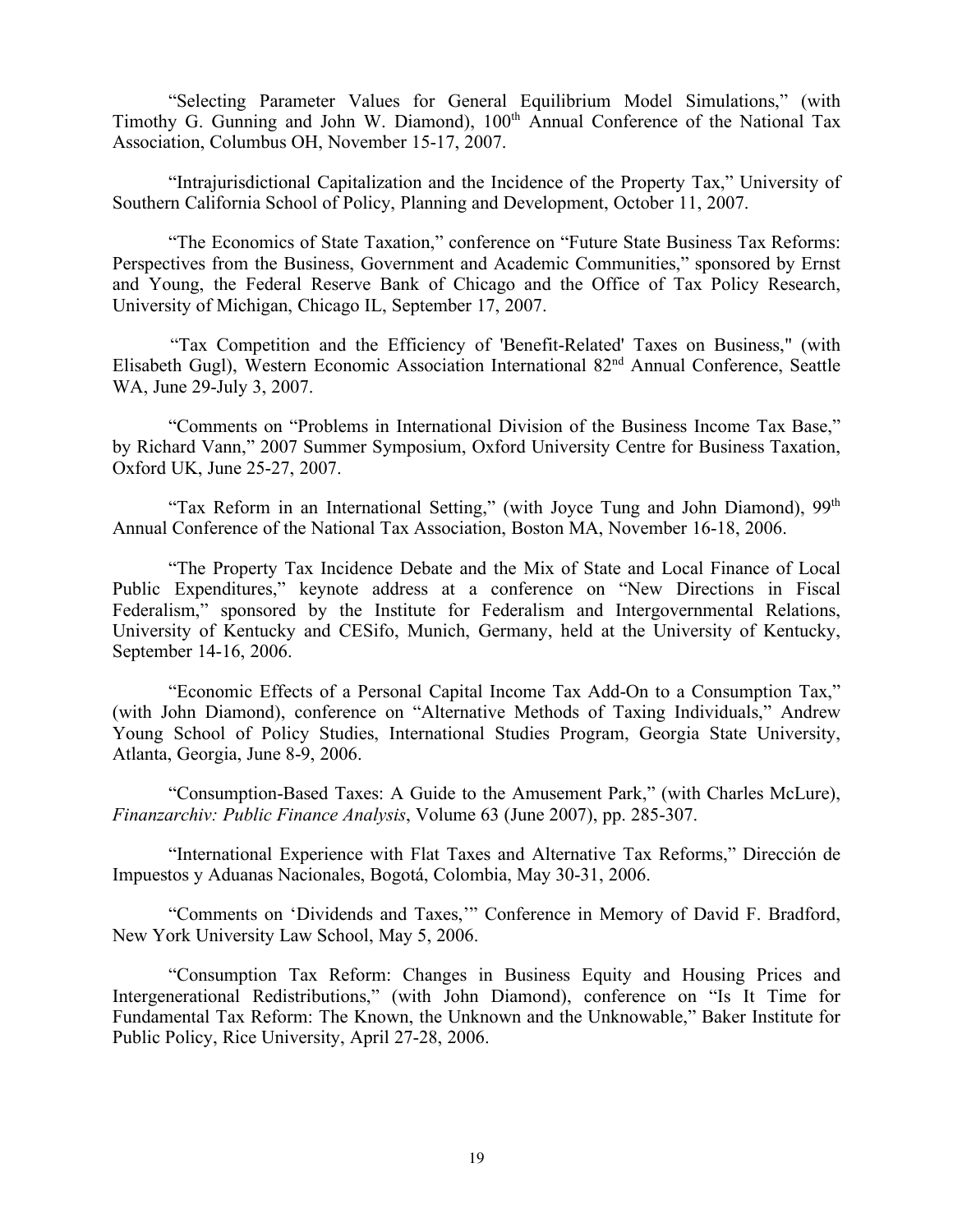"Selecting Parameter Values for General Equilibrium Model Simulations," (with Timothy G. Gunning and John W. Diamond), 100<sup>th</sup> Annual Conference of the National Tax Association, Columbus OH, November 15-17, 2007.

"Intrajurisdictional Capitalization and the Incidence of the Property Tax," University of Southern California School of Policy, Planning and Development, October 11, 2007.

"The Economics of State Taxation," conference on "Future State Business Tax Reforms: Perspectives from the Business, Government and Academic Communities," sponsored by Ernst and Young, the Federal Reserve Bank of Chicago and the Office of Tax Policy Research, University of Michigan, Chicago IL, September 17, 2007.

 "Tax Competition and the Efficiency of 'Benefit-Related' Taxes on Business," (with Elisabeth Gugl), Western Economic Association International 82nd Annual Conference, Seattle WA, June 29-July 3, 2007.

"Comments on "Problems in International Division of the Business Income Tax Base," by Richard Vann," 2007 Summer Symposium, Oxford University Centre for Business Taxation, Oxford UK, June 25-27, 2007.

"Tax Reform in an International Setting," (with Joyce Tung and John Diamond), 99<sup>th</sup> Annual Conference of the National Tax Association, Boston MA, November 16-18, 2006.

"The Property Tax Incidence Debate and the Mix of State and Local Finance of Local Public Expenditures," keynote address at a conference on "New Directions in Fiscal Federalism," sponsored by the Institute for Federalism and Intergovernmental Relations, University of Kentucky and CESifo, Munich, Germany, held at the University of Kentucky, September 14-16, 2006.

"Economic Effects of a Personal Capital Income Tax Add-On to a Consumption Tax," (with John Diamond), conference on "Alternative Methods of Taxing Individuals," Andrew Young School of Policy Studies, International Studies Program, Georgia State University, Atlanta, Georgia, June 8-9, 2006.

"Consumption-Based Taxes: A Guide to the Amusement Park," (with Charles McLure), *Finanzarchiv: Public Finance Analysis*, Volume 63 (June 2007), pp. 285-307.

"International Experience with Flat Taxes and Alternative Tax Reforms," Dirección de Impuestos y Aduanas Nacionales, Bogotá, Colombia, May 30-31, 2006.

"Comments on 'Dividends and Taxes,'" Conference in Memory of David F. Bradford, New York University Law School, May 5, 2006.

"Consumption Tax Reform: Changes in Business Equity and Housing Prices and Intergenerational Redistributions," (with John Diamond), conference on "Is It Time for Fundamental Tax Reform: The Known, the Unknown and the Unknowable," Baker Institute for Public Policy, Rice University, April 27-28, 2006.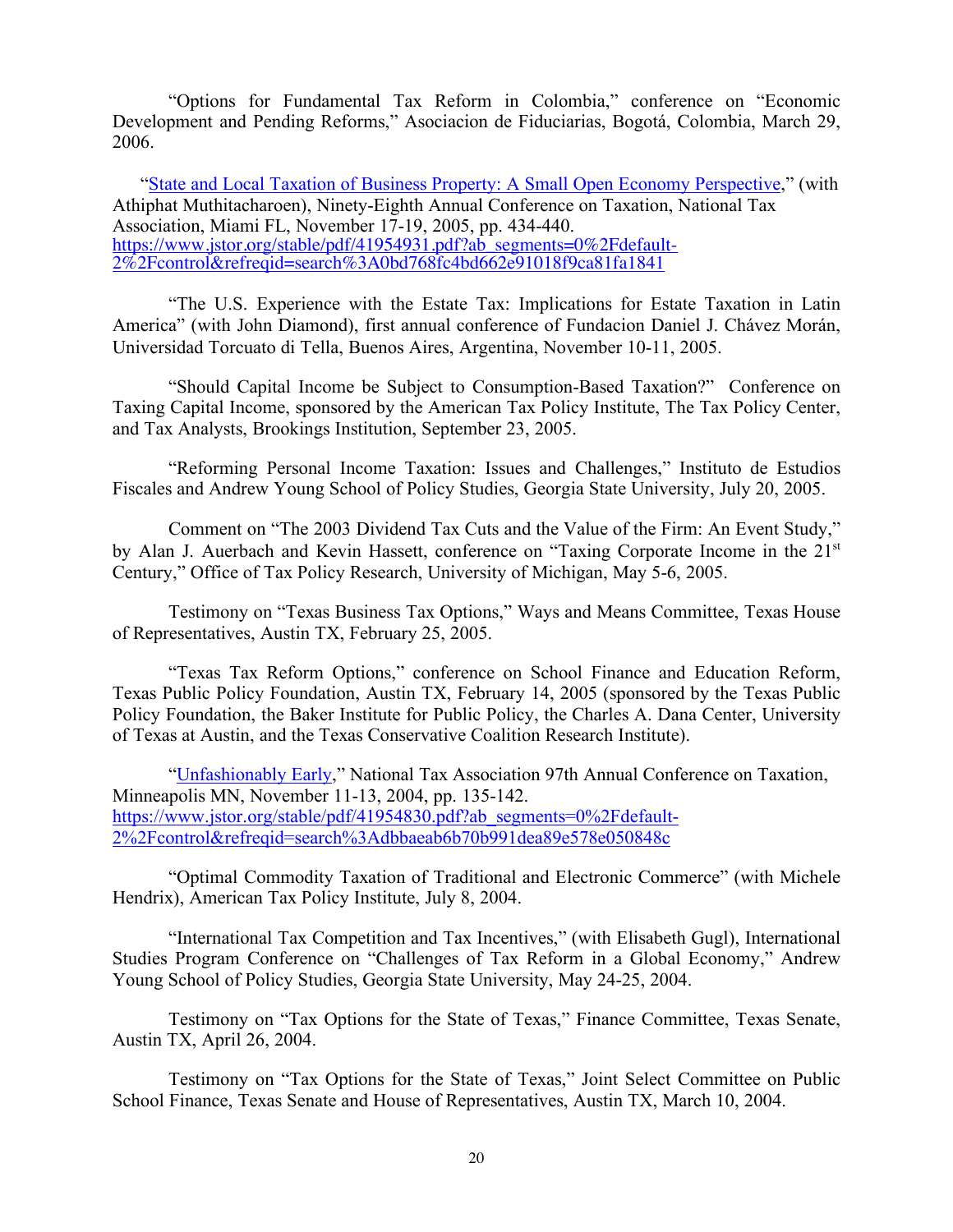"Options for Fundamental Tax Reform in Colombia," conference on "Economic Development and Pending Reforms," Asociacion de Fiduciarias, Bogotá, Colombia, March 29, 2006.

"State and Local Taxation of Business Property: A Small Open Economy Perspective," (with Athiphat Muthitacharoen), Ninety-Eighth Annual Conference on Taxation, National Tax Association, Miami FL, November 17-19, 2005, pp. 434-440. https://www.jstor.org/stable/pdf/41954931.pdf?ab\_segments=0%2Fdefault-2%2Fcontrol&refreqid=search%3A0bd768fc4bd662e91018f9ca81fa1841

"The U.S. Experience with the Estate Tax: Implications for Estate Taxation in Latin America" (with John Diamond), first annual conference of Fundacion Daniel J. Chávez Morán, Universidad Torcuato di Tella, Buenos Aires, Argentina, November 10-11, 2005.

"Should Capital Income be Subject to Consumption-Based Taxation?" Conference on Taxing Capital Income, sponsored by the American Tax Policy Institute, The Tax Policy Center, and Tax Analysts, Brookings Institution, September 23, 2005.

"Reforming Personal Income Taxation: Issues and Challenges," Instituto de Estudios Fiscales and Andrew Young School of Policy Studies, Georgia State University, July 20, 2005.

Comment on "The 2003 Dividend Tax Cuts and the Value of the Firm: An Event Study," by Alan J. Auerbach and Kevin Hassett, conference on "Taxing Corporate Income in the 21<sup>st</sup> Century," Office of Tax Policy Research, University of Michigan, May 5-6, 2005.

Testimony on "Texas Business Tax Options," Ways and Means Committee, Texas House of Representatives, Austin TX, February 25, 2005.

"Texas Tax Reform Options," conference on School Finance and Education Reform, Texas Public Policy Foundation, Austin TX, February 14, 2005 (sponsored by the Texas Public Policy Foundation, the Baker Institute for Public Policy, the Charles A. Dana Center, University of Texas at Austin, and the Texas Conservative Coalition Research Institute).

"Unfashionably Early," National Tax Association 97th Annual Conference on Taxation, Minneapolis MN, November 11-13, 2004, pp. 135-142. https://www.jstor.org/stable/pdf/41954830.pdf?ab\_segments=0%2Fdefault-2%2Fcontrol&refreqid=search%3Adbbaeab6b70b991dea89e578e050848c

"Optimal Commodity Taxation of Traditional and Electronic Commerce" (with Michele Hendrix), American Tax Policy Institute, July 8, 2004.

"International Tax Competition and Tax Incentives," (with Elisabeth Gugl), International Studies Program Conference on "Challenges of Tax Reform in a Global Economy," Andrew Young School of Policy Studies, Georgia State University, May 24-25, 2004.

Testimony on "Tax Options for the State of Texas," Finance Committee, Texas Senate, Austin TX, April 26, 2004.

Testimony on "Tax Options for the State of Texas," Joint Select Committee on Public School Finance, Texas Senate and House of Representatives, Austin TX, March 10, 2004.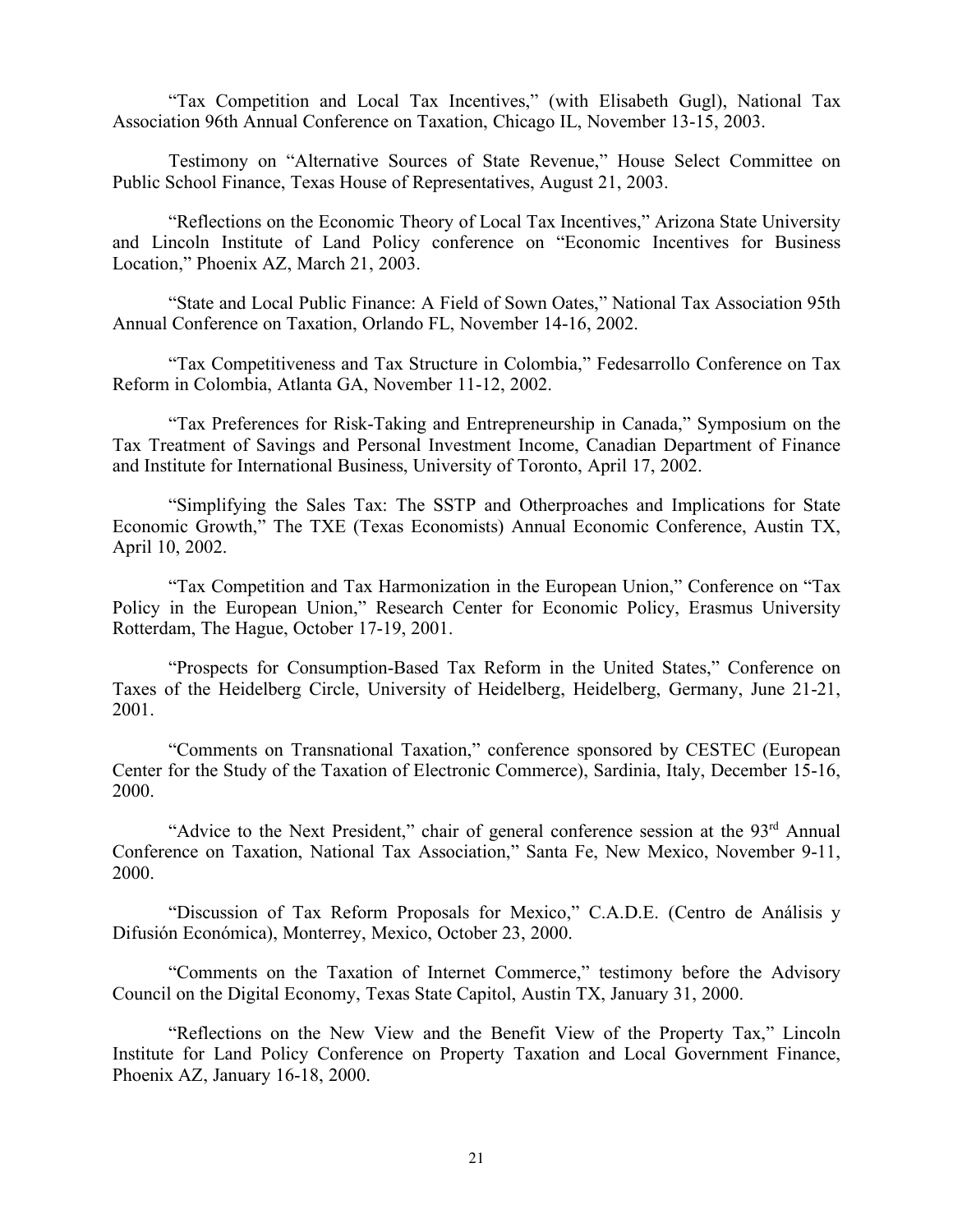"Tax Competition and Local Tax Incentives," (with Elisabeth Gugl), National Tax Association 96th Annual Conference on Taxation, Chicago IL, November 13-15, 2003.

Testimony on "Alternative Sources of State Revenue," House Select Committee on Public School Finance, Texas House of Representatives, August 21, 2003.

"Reflections on the Economic Theory of Local Tax Incentives," Arizona State University and Lincoln Institute of Land Policy conference on "Economic Incentives for Business Location," Phoenix AZ, March 21, 2003.

"State and Local Public Finance: A Field of Sown Oates," National Tax Association 95th Annual Conference on Taxation, Orlando FL, November 14-16, 2002.

"Tax Competitiveness and Tax Structure in Colombia," Fedesarrollo Conference on Tax Reform in Colombia, Atlanta GA, November 11-12, 2002.

"Tax Preferences for Risk-Taking and Entrepreneurship in Canada," Symposium on the Tax Treatment of Savings and Personal Investment Income, Canadian Department of Finance and Institute for International Business, University of Toronto, April 17, 2002.

"Simplifying the Sales Tax: The SSTP and Otherproaches and Implications for State Economic Growth," The TXE (Texas Economists) Annual Economic Conference, Austin TX, April 10, 2002.

"Tax Competition and Tax Harmonization in the European Union," Conference on "Tax Policy in the European Union," Research Center for Economic Policy, Erasmus University Rotterdam, The Hague, October 17-19, 2001.

"Prospects for Consumption-Based Tax Reform in the United States," Conference on Taxes of the Heidelberg Circle, University of Heidelberg, Heidelberg, Germany, June 21-21, 2001.

"Comments on Transnational Taxation," conference sponsored by CESTEC (European Center for the Study of the Taxation of Electronic Commerce), Sardinia, Italy, December 15-16, 2000.

"Advice to the Next President," chair of general conference session at the 93<sup>rd</sup> Annual Conference on Taxation, National Tax Association," Santa Fe, New Mexico, November 9-11, 2000.

"Discussion of Tax Reform Proposals for Mexico," C.A.D.E. (Centro de Análisis y Difusión Económica), Monterrey, Mexico, October 23, 2000.

"Comments on the Taxation of Internet Commerce," testimony before the Advisory Council on the Digital Economy, Texas State Capitol, Austin TX, January 31, 2000.

"Reflections on the New View and the Benefit View of the Property Tax," Lincoln Institute for Land Policy Conference on Property Taxation and Local Government Finance, Phoenix AZ, January 16-18, 2000.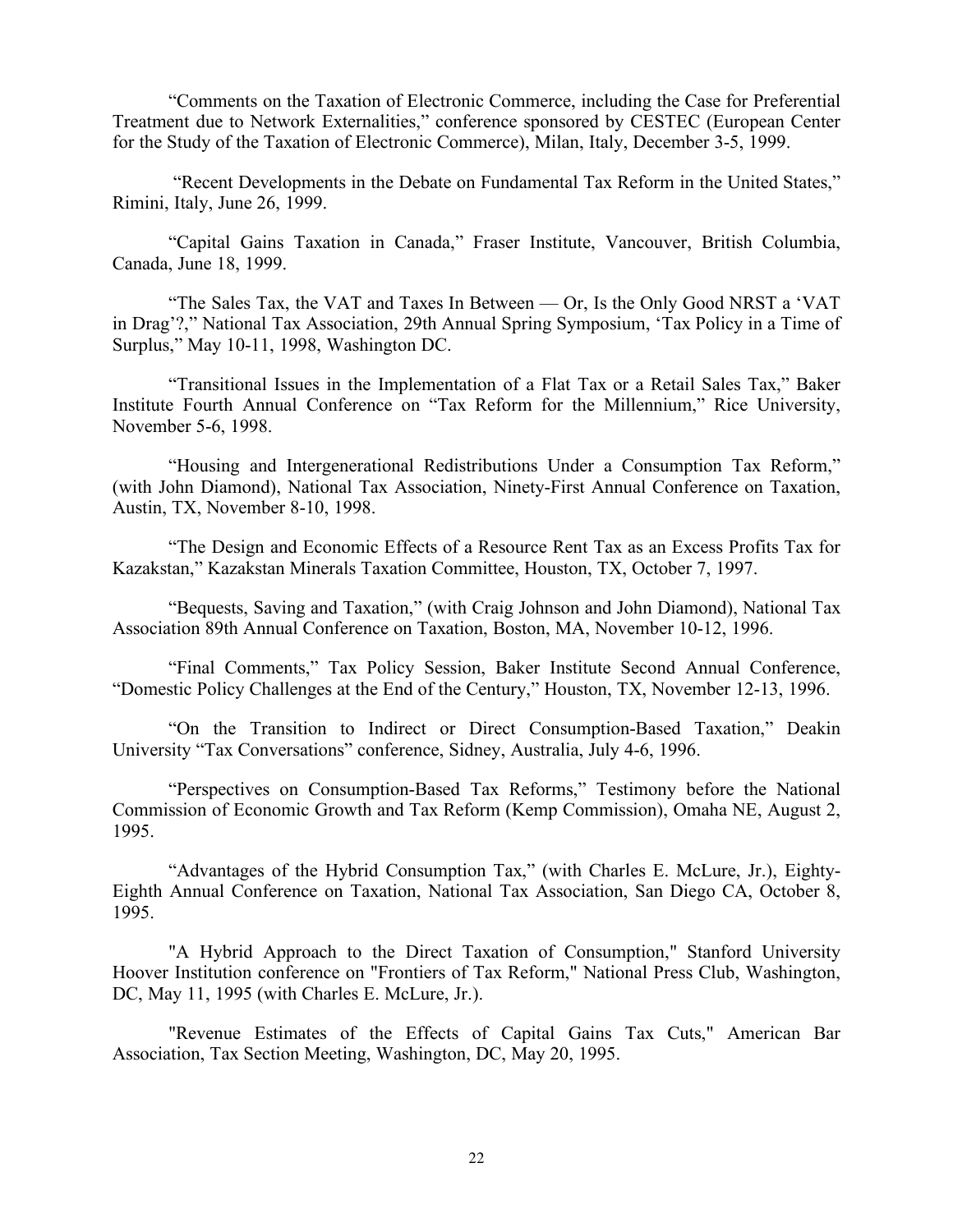"Comments on the Taxation of Electronic Commerce, including the Case for Preferential Treatment due to Network Externalities," conference sponsored by CESTEC (European Center for the Study of the Taxation of Electronic Commerce), Milan, Italy, December 3-5, 1999.

"Recent Developments in the Debate on Fundamental Tax Reform in the United States," Rimini, Italy, June 26, 1999.

"Capital Gains Taxation in Canada," Fraser Institute, Vancouver, British Columbia, Canada, June 18, 1999.

"The Sales Tax, the VAT and Taxes In Between — Or, Is the Only Good NRST a 'VAT in Drag'?," National Tax Association, 29th Annual Spring Symposium, 'Tax Policy in a Time of Surplus," May 10-11, 1998, Washington DC.

"Transitional Issues in the Implementation of a Flat Tax or a Retail Sales Tax," Baker Institute Fourth Annual Conference on "Tax Reform for the Millennium," Rice University, November 5-6, 1998.

"Housing and Intergenerational Redistributions Under a Consumption Tax Reform," (with John Diamond), National Tax Association, Ninety-First Annual Conference on Taxation, Austin, TX, November 8-10, 1998.

"The Design and Economic Effects of a Resource Rent Tax as an Excess Profits Tax for Kazakstan," Kazakstan Minerals Taxation Committee, Houston, TX, October 7, 1997.

"Bequests, Saving and Taxation," (with Craig Johnson and John Diamond), National Tax Association 89th Annual Conference on Taxation, Boston, MA, November 10-12, 1996.

"Final Comments," Tax Policy Session, Baker Institute Second Annual Conference, "Domestic Policy Challenges at the End of the Century," Houston, TX, November 12-13, 1996.

"On the Transition to Indirect or Direct Consumption-Based Taxation," Deakin University "Tax Conversations" conference, Sidney, Australia, July 4-6, 1996.

"Perspectives on Consumption-Based Tax Reforms," Testimony before the National Commission of Economic Growth and Tax Reform (Kemp Commission), Omaha NE, August 2, 1995.

"Advantages of the Hybrid Consumption Tax," (with Charles E. McLure, Jr.), Eighty-Eighth Annual Conference on Taxation, National Tax Association, San Diego CA, October 8, 1995.

"A Hybrid Approach to the Direct Taxation of Consumption," Stanford University Hoover Institution conference on "Frontiers of Tax Reform," National Press Club, Washington, DC, May 11, 1995 (with Charles E. McLure, Jr.).

"Revenue Estimates of the Effects of Capital Gains Tax Cuts," American Bar Association, Tax Section Meeting, Washington, DC, May 20, 1995.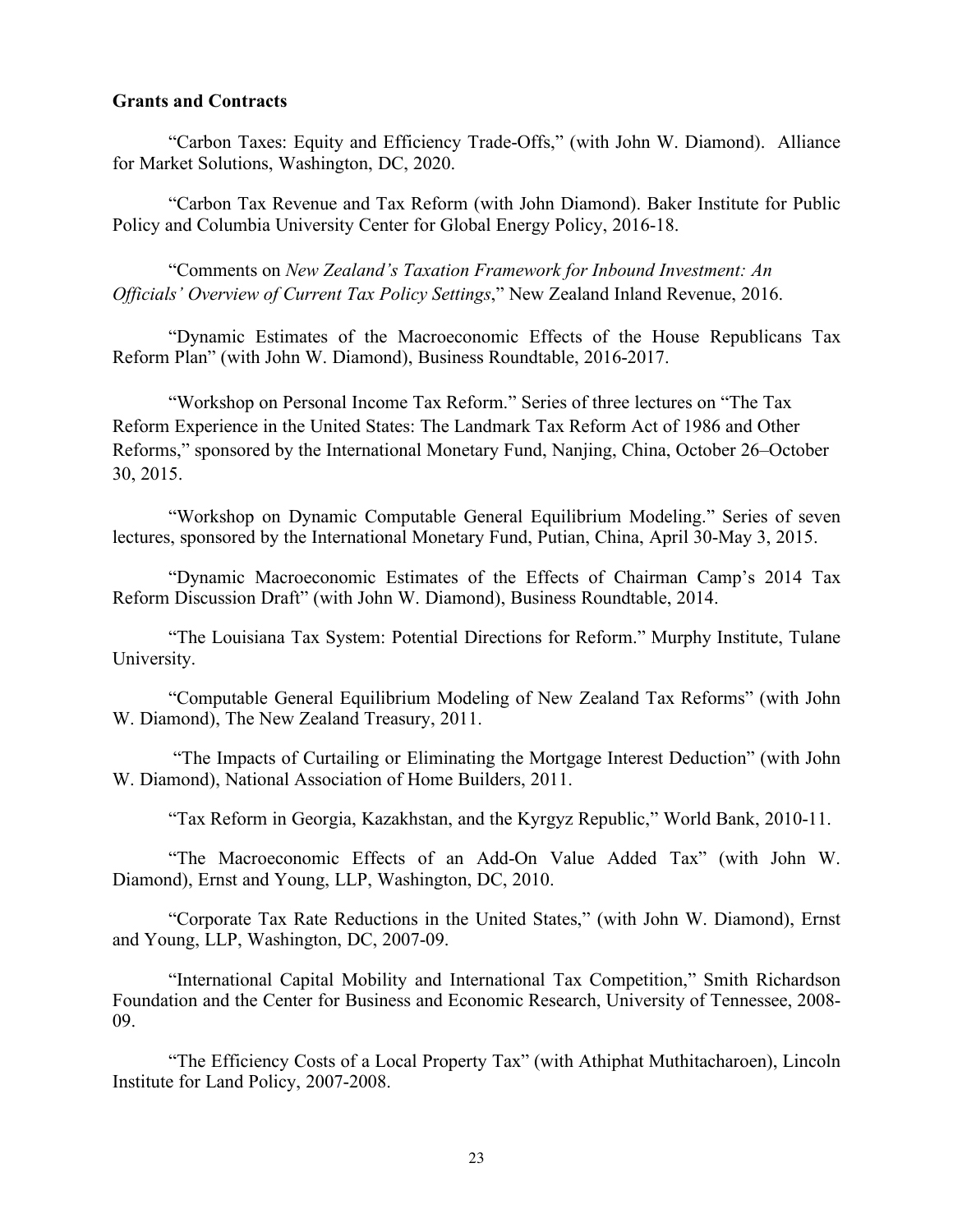### **Grants and Contracts**

"Carbon Taxes: Equity and Efficiency Trade-Offs," (with John W. Diamond). Alliance for Market Solutions, Washington, DC, 2020.

"Carbon Tax Revenue and Tax Reform (with John Diamond). Baker Institute for Public Policy and Columbia University Center for Global Energy Policy, 2016-18.

"Comments on *New Zealand's Taxation Framework for Inbound Investment: An Officials' Overview of Current Tax Policy Settings*," New Zealand Inland Revenue, 2016.

"Dynamic Estimates of the Macroeconomic Effects of the House Republicans Tax Reform Plan" (with John W. Diamond), Business Roundtable, 2016-2017.

"Workshop on Personal Income Tax Reform." Series of three lectures on "The Tax Reform Experience in the United States: The Landmark Tax Reform Act of 1986 and Other Reforms," sponsored by the International Monetary Fund, Nanjing, China, October 26–October 30, 2015.

"Workshop on Dynamic Computable General Equilibrium Modeling." Series of seven lectures, sponsored by the International Monetary Fund, Putian, China, April 30-May 3, 2015.

"Dynamic Macroeconomic Estimates of the Effects of Chairman Camp's 2014 Tax Reform Discussion Draft" (with John W. Diamond), Business Roundtable, 2014.

"The Louisiana Tax System: Potential Directions for Reform." Murphy Institute, Tulane University.

"Computable General Equilibrium Modeling of New Zealand Tax Reforms" (with John W. Diamond), The New Zealand Treasury, 2011.

"The Impacts of Curtailing or Eliminating the Mortgage Interest Deduction" (with John W. Diamond), National Association of Home Builders, 2011.

"Tax Reform in Georgia, Kazakhstan, and the Kyrgyz Republic," World Bank, 2010-11.

"The Macroeconomic Effects of an Add-On Value Added Tax" (with John W. Diamond), Ernst and Young, LLP, Washington, DC, 2010.

"Corporate Tax Rate Reductions in the United States," (with John W. Diamond), Ernst and Young, LLP, Washington, DC, 2007-09.

"International Capital Mobility and International Tax Competition," Smith Richardson Foundation and the Center for Business and Economic Research, University of Tennessee, 2008- 09.

"The Efficiency Costs of a Local Property Tax" (with Athiphat Muthitacharoen), Lincoln Institute for Land Policy, 2007-2008.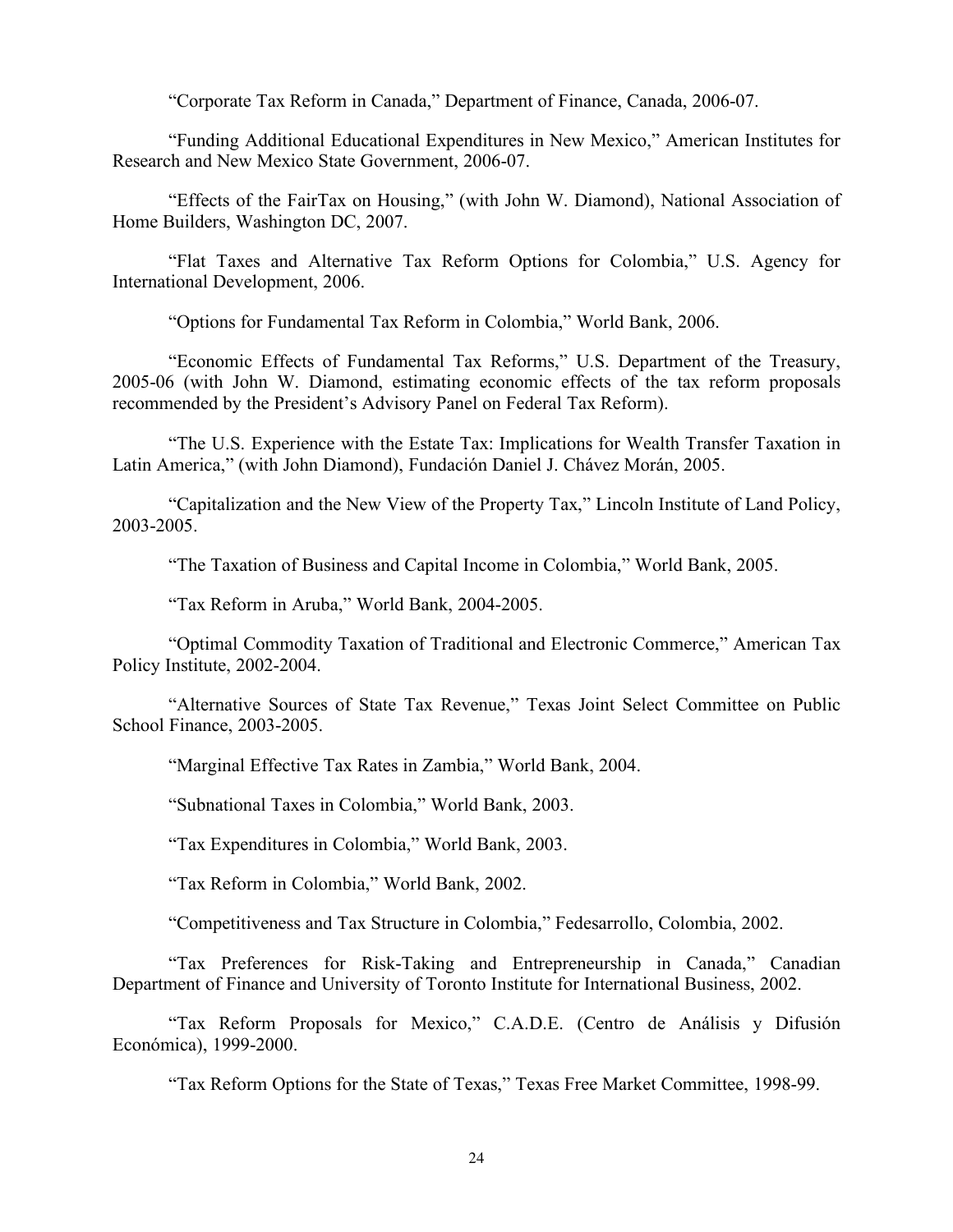"Corporate Tax Reform in Canada," Department of Finance, Canada, 2006-07.

"Funding Additional Educational Expenditures in New Mexico," American Institutes for Research and New Mexico State Government, 2006-07.

"Effects of the FairTax on Housing," (with John W. Diamond), National Association of Home Builders, Washington DC, 2007.

"Flat Taxes and Alternative Tax Reform Options for Colombia," U.S. Agency for International Development, 2006.

"Options for Fundamental Tax Reform in Colombia," World Bank, 2006.

"Economic Effects of Fundamental Tax Reforms," U.S. Department of the Treasury, 2005-06 (with John W. Diamond, estimating economic effects of the tax reform proposals recommended by the President's Advisory Panel on Federal Tax Reform).

"The U.S. Experience with the Estate Tax: Implications for Wealth Transfer Taxation in Latin America," (with John Diamond), Fundaciόn Daniel J. Chávez Morán, 2005.

"Capitalization and the New View of the Property Tax," Lincoln Institute of Land Policy, 2003-2005.

"The Taxation of Business and Capital Income in Colombia," World Bank, 2005.

"Tax Reform in Aruba," World Bank, 2004-2005.

"Optimal Commodity Taxation of Traditional and Electronic Commerce," American Tax Policy Institute, 2002-2004.

"Alternative Sources of State Tax Revenue," Texas Joint Select Committee on Public School Finance, 2003-2005.

"Marginal Effective Tax Rates in Zambia," World Bank, 2004.

"Subnational Taxes in Colombia," World Bank, 2003.

"Tax Expenditures in Colombia," World Bank, 2003.

"Tax Reform in Colombia," World Bank, 2002.

"Competitiveness and Tax Structure in Colombia," Fedesarrollo, Colombia, 2002.

"Tax Preferences for Risk-Taking and Entrepreneurship in Canada," Canadian Department of Finance and University of Toronto Institute for International Business, 2002.

"Tax Reform Proposals for Mexico," C.A.D.E. (Centro de Análisis y Difusión Económica), 1999-2000.

"Tax Reform Options for the State of Texas," Texas Free Market Committee, 1998-99.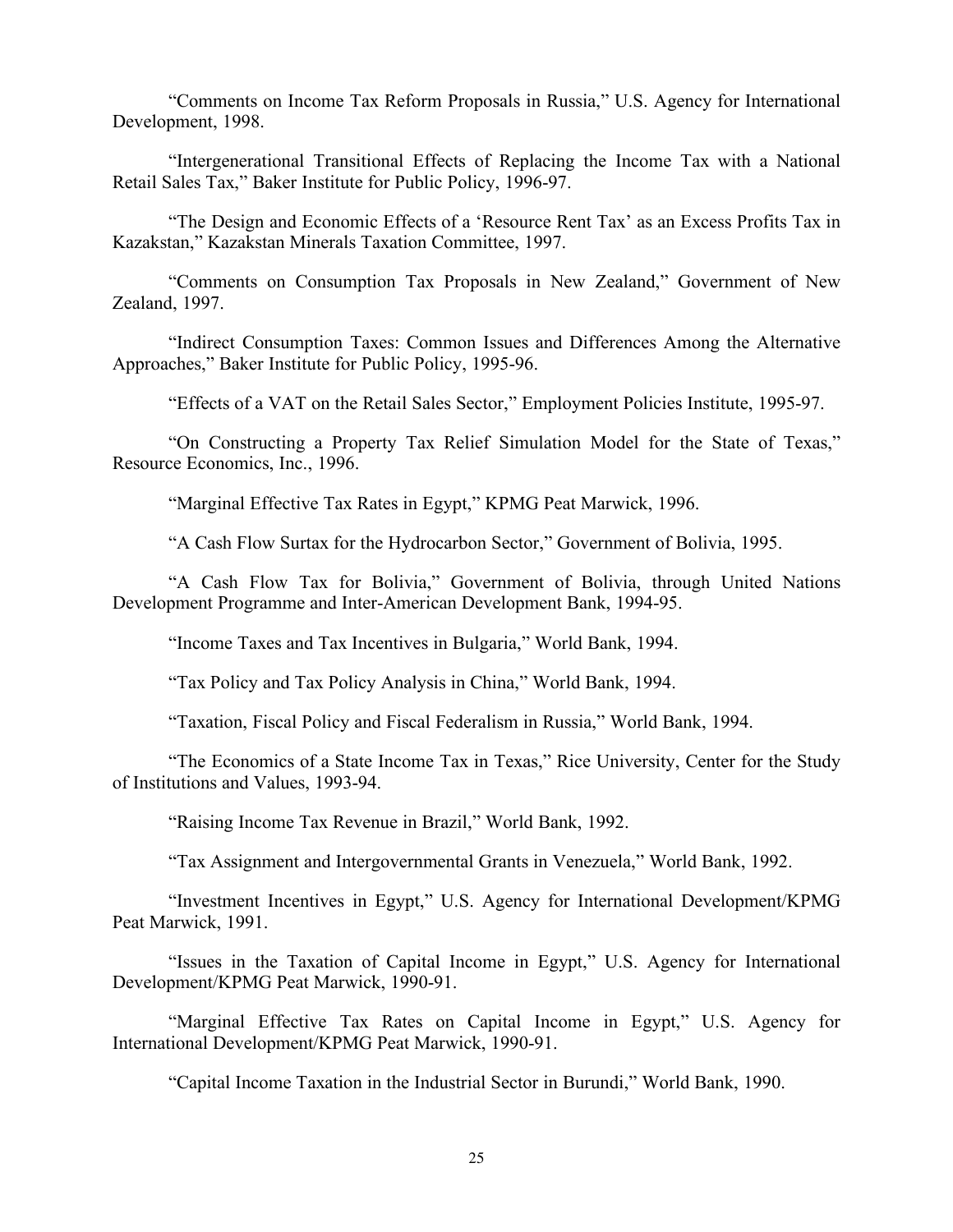"Comments on Income Tax Reform Proposals in Russia," U.S. Agency for International Development, 1998.

"Intergenerational Transitional Effects of Replacing the Income Tax with a National Retail Sales Tax," Baker Institute for Public Policy, 1996-97.

"The Design and Economic Effects of a 'Resource Rent Tax' as an Excess Profits Tax in Kazakstan," Kazakstan Minerals Taxation Committee, 1997.

"Comments on Consumption Tax Proposals in New Zealand," Government of New Zealand, 1997.

"Indirect Consumption Taxes: Common Issues and Differences Among the Alternative Approaches," Baker Institute for Public Policy, 1995-96.

"Effects of a VAT on the Retail Sales Sector," Employment Policies Institute, 1995-97.

"On Constructing a Property Tax Relief Simulation Model for the State of Texas," Resource Economics, Inc., 1996.

"Marginal Effective Tax Rates in Egypt," KPMG Peat Marwick, 1996.

"A Cash Flow Surtax for the Hydrocarbon Sector," Government of Bolivia, 1995.

"A Cash Flow Tax for Bolivia," Government of Bolivia, through United Nations Development Programme and Inter-American Development Bank, 1994-95.

"Income Taxes and Tax Incentives in Bulgaria," World Bank, 1994.

"Tax Policy and Tax Policy Analysis in China," World Bank, 1994.

"Taxation, Fiscal Policy and Fiscal Federalism in Russia," World Bank, 1994.

"The Economics of a State Income Tax in Texas," Rice University, Center for the Study of Institutions and Values, 1993-94.

"Raising Income Tax Revenue in Brazil," World Bank, 1992.

"Tax Assignment and Intergovernmental Grants in Venezuela," World Bank, 1992.

"Investment Incentives in Egypt," U.S. Agency for International Development/KPMG Peat Marwick, 1991.

"Issues in the Taxation of Capital Income in Egypt," U.S. Agency for International Development/KPMG Peat Marwick, 1990-91.

"Marginal Effective Tax Rates on Capital Income in Egypt," U.S. Agency for International Development/KPMG Peat Marwick, 1990-91.

"Capital Income Taxation in the Industrial Sector in Burundi," World Bank, 1990.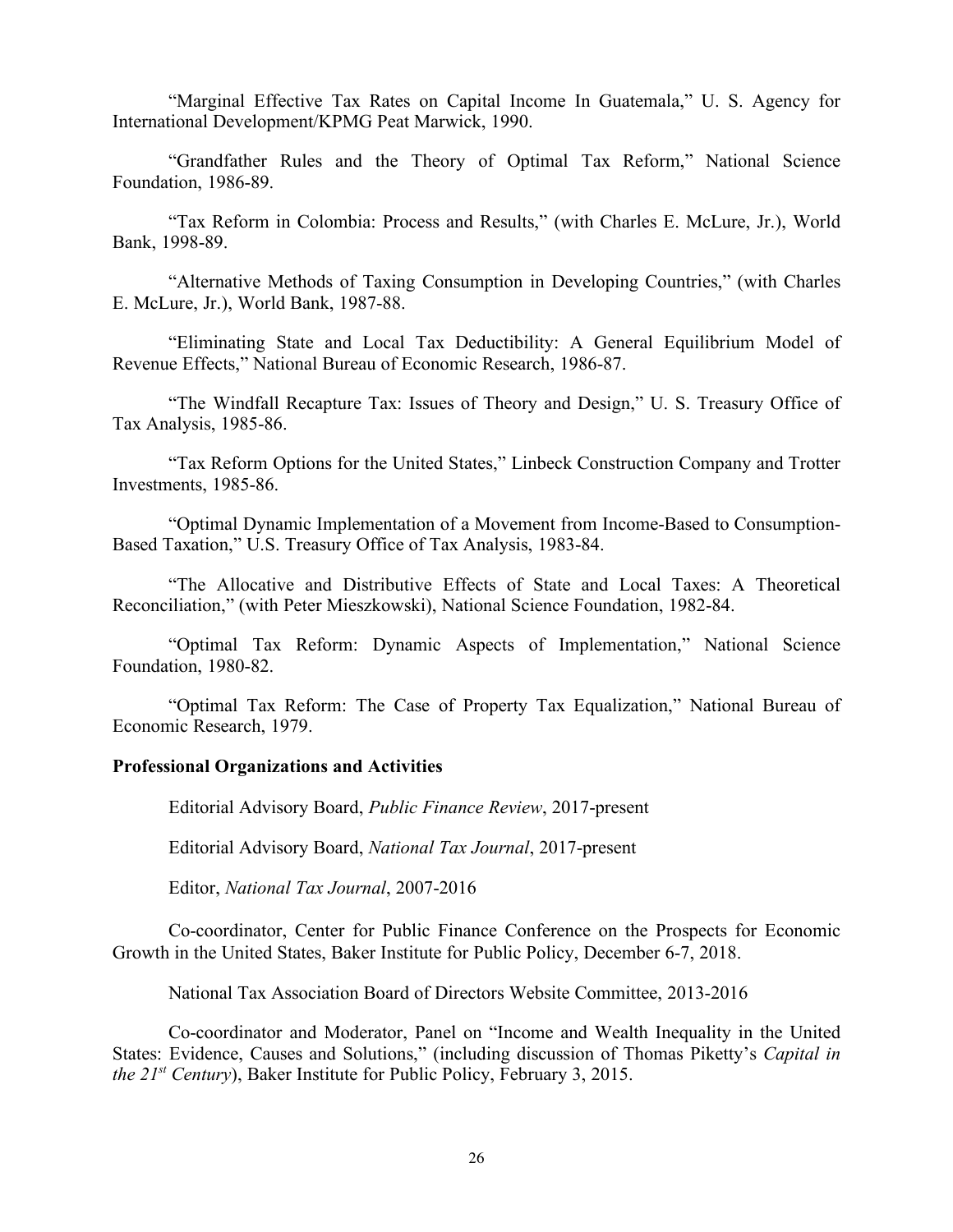"Marginal Effective Tax Rates on Capital Income In Guatemala," U. S. Agency for International Development/KPMG Peat Marwick, 1990.

"Grandfather Rules and the Theory of Optimal Tax Reform," National Science Foundation, 1986-89.

"Tax Reform in Colombia: Process and Results," (with Charles E. McLure, Jr.), World Bank, 1998-89.

"Alternative Methods of Taxing Consumption in Developing Countries," (with Charles E. McLure, Jr.), World Bank, 1987-88.

"Eliminating State and Local Tax Deductibility: A General Equilibrium Model of Revenue Effects," National Bureau of Economic Research, 1986-87.

"The Windfall Recapture Tax: Issues of Theory and Design," U. S. Treasury Office of Tax Analysis, 1985-86.

"Tax Reform Options for the United States," Linbeck Construction Company and Trotter Investments, 1985-86.

"Optimal Dynamic Implementation of a Movement from Income-Based to Consumption-Based Taxation," U.S. Treasury Office of Tax Analysis, 1983-84.

"The Allocative and Distributive Effects of State and Local Taxes: A Theoretical Reconciliation," (with Peter Mieszkowski), National Science Foundation, 1982-84.

"Optimal Tax Reform: Dynamic Aspects of Implementation," National Science Foundation, 1980-82.

"Optimal Tax Reform: The Case of Property Tax Equalization," National Bureau of Economic Research, 1979.

#### **Professional Organizations and Activities**

Editorial Advisory Board, *Public Finance Review*, 2017-present

Editorial Advisory Board, *National Tax Journal*, 2017-present

Editor, *National Tax Journal*, 2007-2016

Co-coordinator, Center for Public Finance Conference on the Prospects for Economic Growth in the United States, Baker Institute for Public Policy, December 6-7, 2018.

National Tax Association Board of Directors Website Committee, 2013-2016

Co-coordinator and Moderator, Panel on "Income and Wealth Inequality in the United States: Evidence, Causes and Solutions," (including discussion of Thomas Piketty's *Capital in the 21st Century*), Baker Institute for Public Policy, February 3, 2015.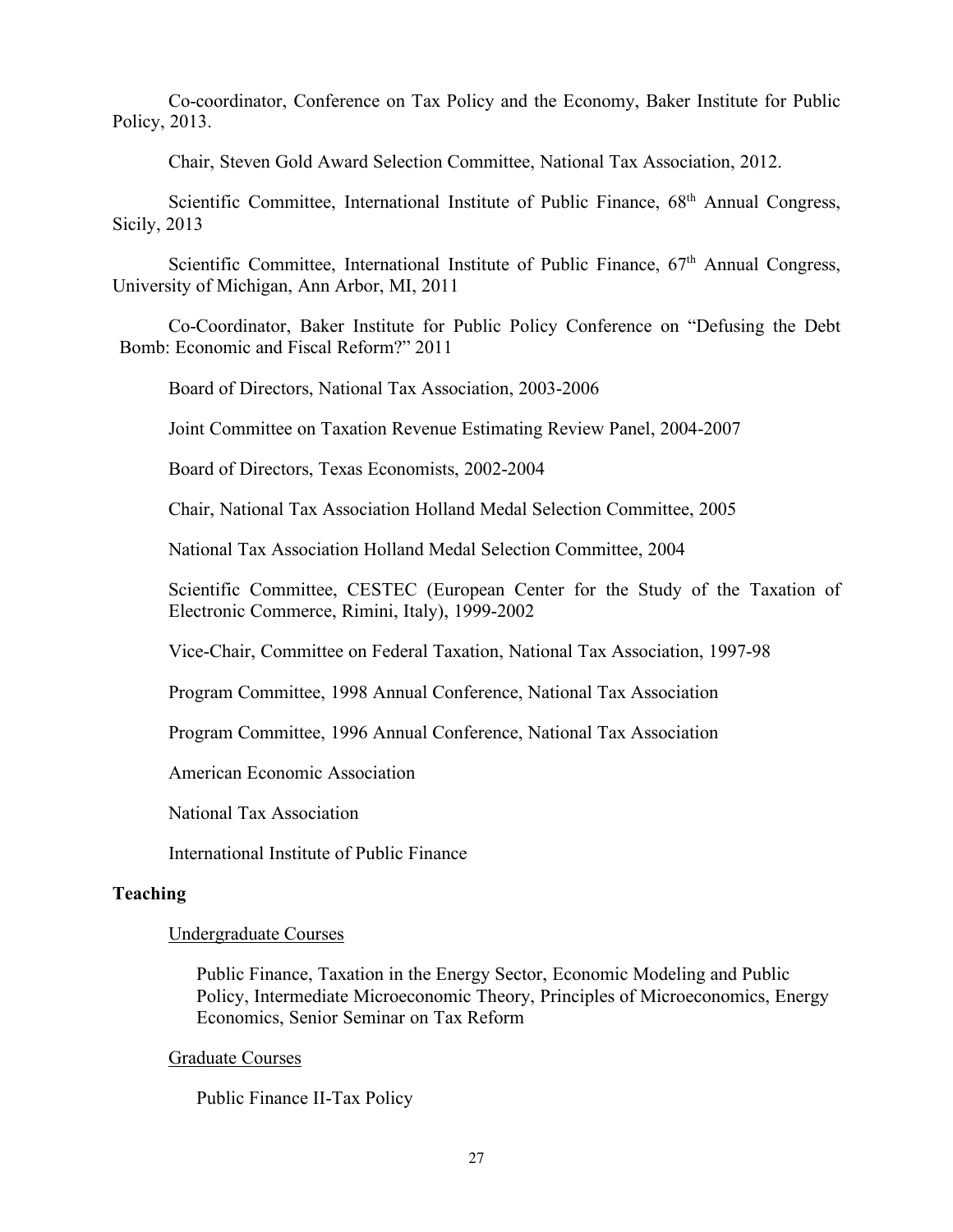Co-coordinator, Conference on Tax Policy and the Economy, Baker Institute for Public Policy, 2013.

Chair, Steven Gold Award Selection Committee, National Tax Association, 2012.

Scientific Committee, International Institute of Public Finance, 68<sup>th</sup> Annual Congress, Sicily, 2013

Scientific Committee, International Institute of Public Finance,  $67<sup>th</sup>$  Annual Congress, University of Michigan, Ann Arbor, MI, 2011

Co-Coordinator, Baker Institute for Public Policy Conference on "Defusing the Debt Bomb: Economic and Fiscal Reform?" 2011

Board of Directors, National Tax Association, 2003-2006

Joint Committee on Taxation Revenue Estimating Review Panel, 2004-2007

Board of Directors, Texas Economists, 2002-2004

Chair, National Tax Association Holland Medal Selection Committee, 2005

National Tax Association Holland Medal Selection Committee, 2004

Scientific Committee, CESTEC (European Center for the Study of the Taxation of Electronic Commerce, Rimini, Italy), 1999-2002

Vice-Chair, Committee on Federal Taxation, National Tax Association, 1997-98

Program Committee, 1998 Annual Conference, National Tax Association

Program Committee, 1996 Annual Conference, National Tax Association

American Economic Association

National Tax Association

International Institute of Public Finance

# **Teaching**

## Undergraduate Courses

Public Finance, Taxation in the Energy Sector, Economic Modeling and Public Policy, Intermediate Microeconomic Theory, Principles of Microeconomics, Energy Economics, Senior Seminar on Tax Reform

## Graduate Courses

Public Finance II-Tax Policy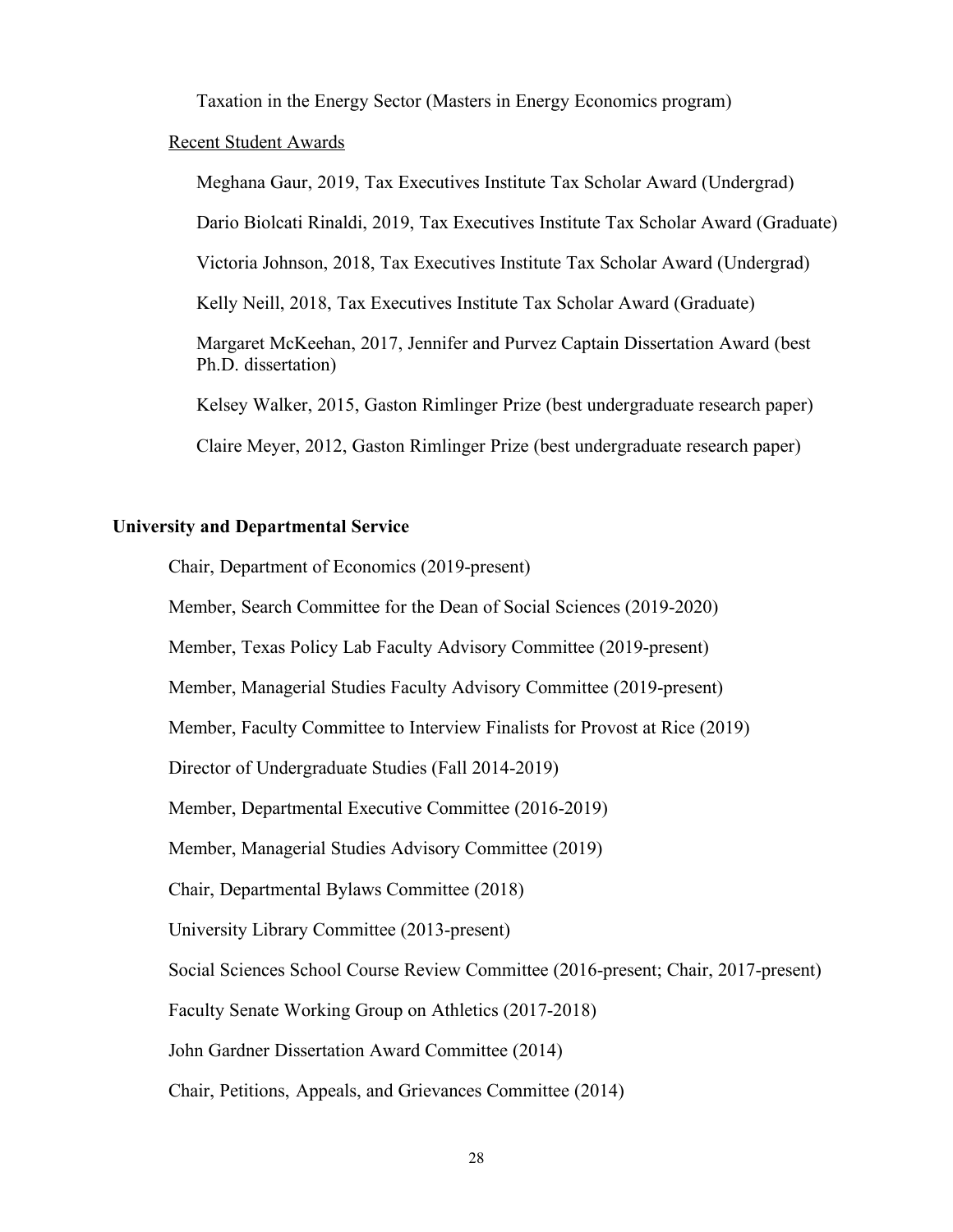Taxation in the Energy Sector (Masters in Energy Economics program)

## Recent Student Awards

Meghana Gaur, 2019, Tax Executives Institute Tax Scholar Award (Undergrad) Dario Biolcati Rinaldi, 2019, Tax Executives Institute Tax Scholar Award (Graduate) Victoria Johnson, 2018, Tax Executives Institute Tax Scholar Award (Undergrad) Kelly Neill, 2018, Tax Executives Institute Tax Scholar Award (Graduate) Margaret McKeehan, 2017, Jennifer and Purvez Captain Dissertation Award (best Ph.D. dissertation) Kelsey Walker, 2015, Gaston Rimlinger Prize (best undergraduate research paper) Claire Meyer, 2012, Gaston Rimlinger Prize (best undergraduate research paper)

#### **University and Departmental Service**

Chair, Department of Economics (2019-present)

Member, Search Committee for the Dean of Social Sciences (2019-2020)

Member, Texas Policy Lab Faculty Advisory Committee (2019-present)

Member, Managerial Studies Faculty Advisory Committee (2019-present)

Member, Faculty Committee to Interview Finalists for Provost at Rice (2019)

Director of Undergraduate Studies (Fall 2014-2019)

Member, Departmental Executive Committee (2016-2019)

Member, Managerial Studies Advisory Committee (2019)

Chair, Departmental Bylaws Committee (2018)

University Library Committee (2013-present)

Social Sciences School Course Review Committee (2016-present; Chair, 2017-present)

Faculty Senate Working Group on Athletics (2017-2018)

John Gardner Dissertation Award Committee (2014)

Chair, Petitions, Appeals, and Grievances Committee (2014)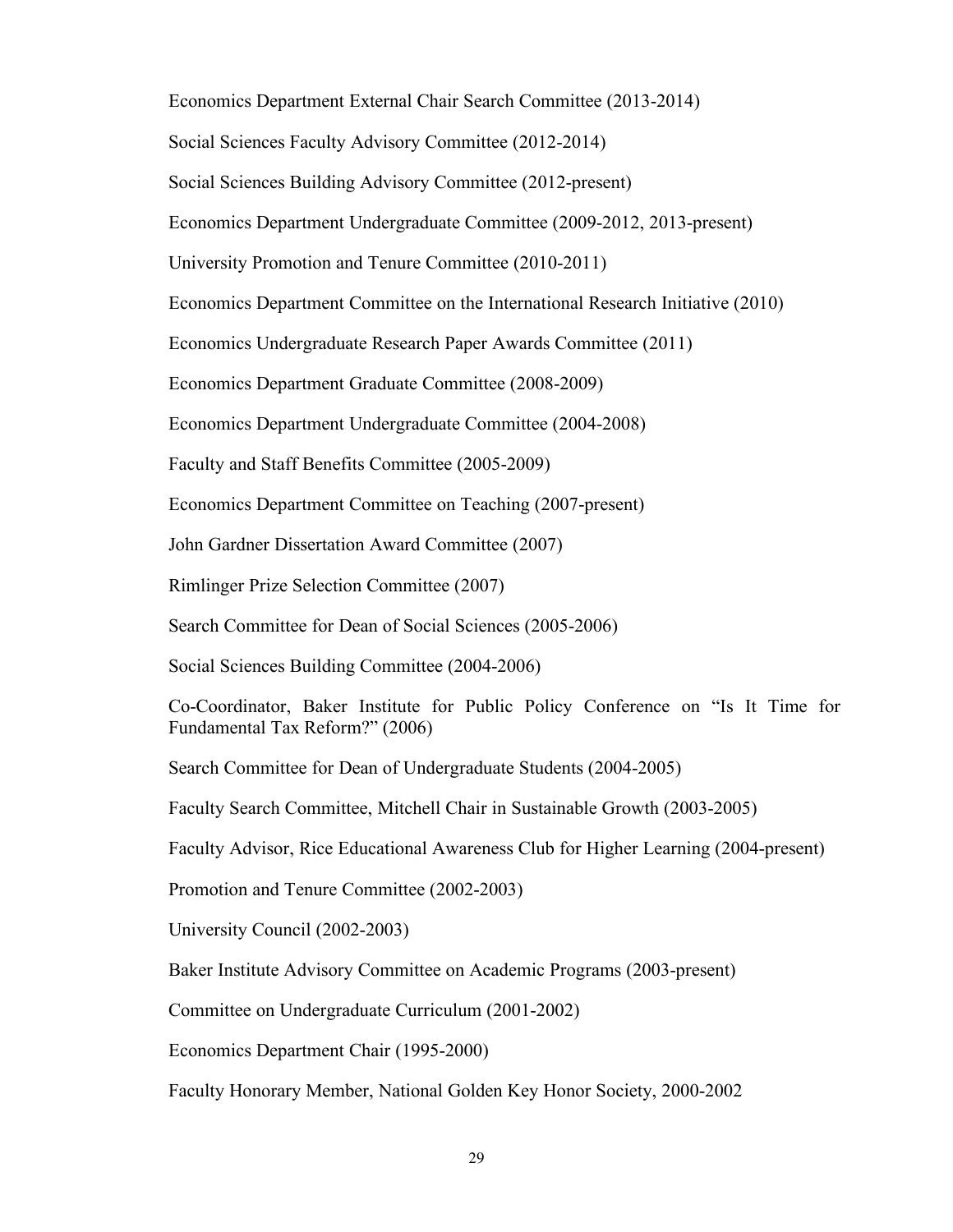Economics Department External Chair Search Committee (2013-2014) Social Sciences Faculty Advisory Committee (2012-2014)

Social Sciences Building Advisory Committee (2012-present)

Economics Department Undergraduate Committee (2009-2012, 2013-present)

University Promotion and Tenure Committee (2010-2011)

Economics Department Committee on the International Research Initiative (2010)

Economics Undergraduate Research Paper Awards Committee (2011)

Economics Department Graduate Committee (2008-2009)

Economics Department Undergraduate Committee (2004-2008)

Faculty and Staff Benefits Committee (2005-2009)

Economics Department Committee on Teaching (2007-present)

John Gardner Dissertation Award Committee (2007)

Rimlinger Prize Selection Committee (2007)

Search Committee for Dean of Social Sciences (2005-2006)

Social Sciences Building Committee (2004-2006)

Co-Coordinator, Baker Institute for Public Policy Conference on "Is It Time for Fundamental Tax Reform?" (2006)

Search Committee for Dean of Undergraduate Students (2004-2005)

Faculty Search Committee, Mitchell Chair in Sustainable Growth (2003-2005)

Faculty Advisor, Rice Educational Awareness Club for Higher Learning (2004-present)

Promotion and Tenure Committee (2002-2003)

University Council (2002-2003)

Baker Institute Advisory Committee on Academic Programs (2003-present)

Committee on Undergraduate Curriculum (2001-2002)

Economics Department Chair (1995-2000)

Faculty Honorary Member, National Golden Key Honor Society, 2000-2002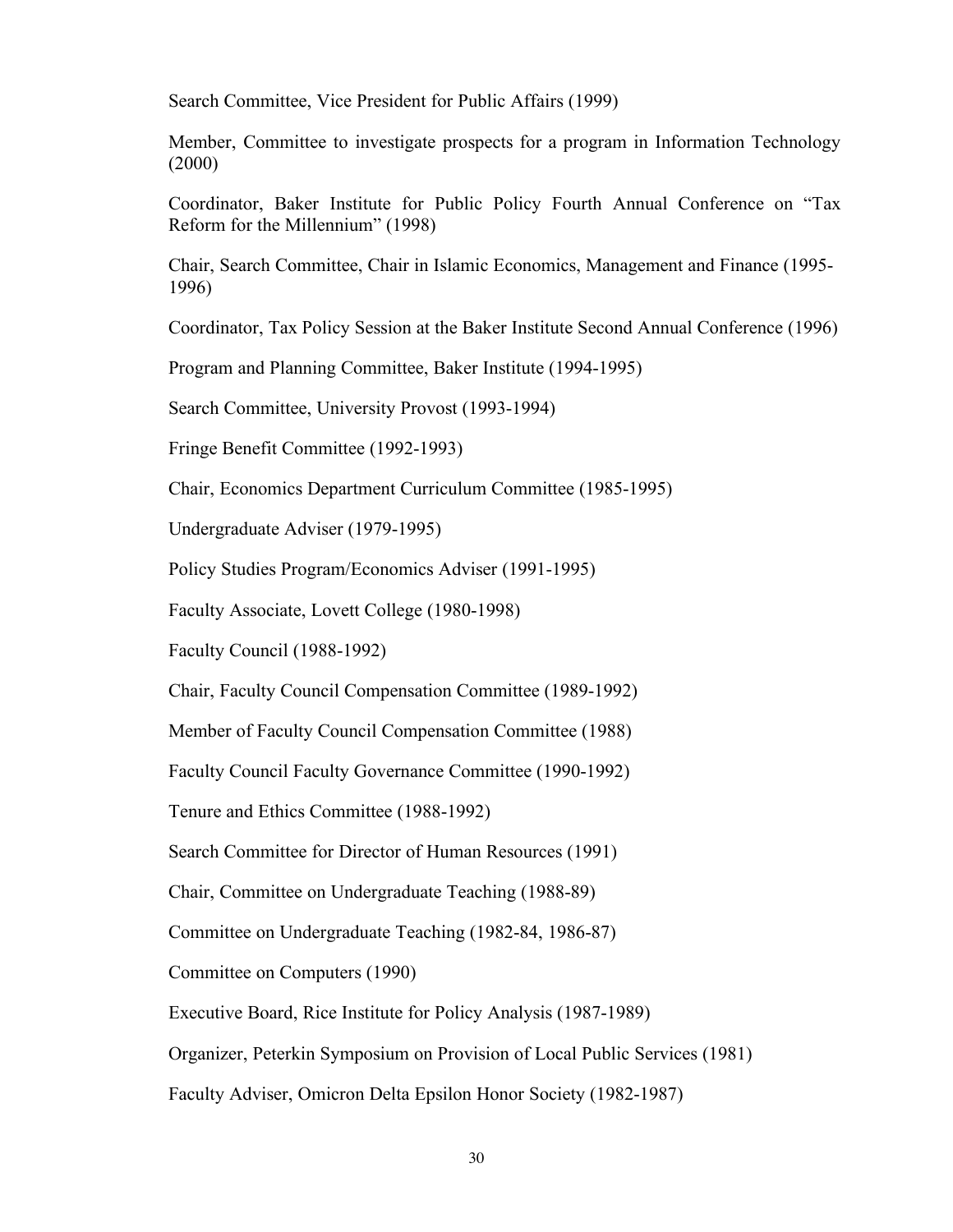Search Committee, Vice President for Public Affairs (1999)

Member, Committee to investigate prospects for a program in Information Technology (2000)

Coordinator, Baker Institute for Public Policy Fourth Annual Conference on "Tax Reform for the Millennium" (1998)

Chair, Search Committee, Chair in Islamic Economics, Management and Finance (1995- 1996)

Coordinator, Tax Policy Session at the Baker Institute Second Annual Conference (1996)

Program and Planning Committee, Baker Institute (1994-1995)

Search Committee, University Provost (1993-1994)

Fringe Benefit Committee (1992-1993)

Chair, Economics Department Curriculum Committee (1985-1995)

Undergraduate Adviser (1979-1995)

Policy Studies Program/Economics Adviser (1991-1995)

Faculty Associate, Lovett College (1980-1998)

Faculty Council (1988-1992)

Chair, Faculty Council Compensation Committee (1989-1992)

Member of Faculty Council Compensation Committee (1988)

Faculty Council Faculty Governance Committee (1990-1992)

Tenure and Ethics Committee (1988-1992)

Search Committee for Director of Human Resources (1991)

Chair, Committee on Undergraduate Teaching (1988-89)

Committee on Undergraduate Teaching (1982-84, 1986-87)

Committee on Computers (1990)

Executive Board, Rice Institute for Policy Analysis (1987-1989)

Organizer, Peterkin Symposium on Provision of Local Public Services (1981)

Faculty Adviser, Omicron Delta Epsilon Honor Society (1982-1987)